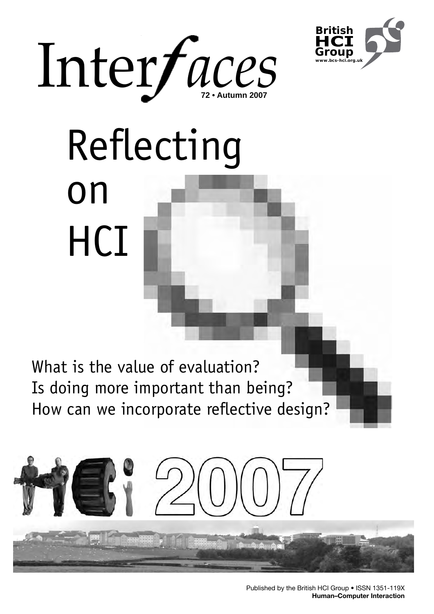



# Reflecting on **HCI**

What is the value of evaluation? Is doing more important than being? How can we incorporate reflective design?

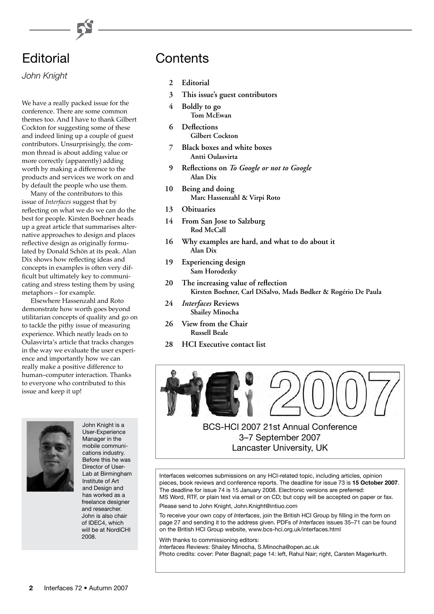# **Editorial**

*John Knight*

We have a really packed issue for the conference. There are some common themes too. And I have to thank Gilbert Cockton for suggesting some of these and indeed lining up a couple of guest contributors. Unsurprisingly, the common thread is about adding value or more correctly (apparently) adding worth by making a difference to the products and services we work on and by default the people who use them.

Many of the contributors to this issue of *Interfaces* suggest that by reflecting on what we do we can do the best for people. Kirsten Boehner heads up a great article that summarises alternative approaches to design and places reflective design as originally formulated by Donald Schön at its peak. Alan Dix shows how reflecting ideas and concepts in examples is often very difficult but ultimately key to communicating and stress testing them by using metaphors – for example.

Elsewhere Hassenzahl and Roto demonstrate how worth goes beyond utilitarian concepts of quality and go on to tackle the pithy issue of measuring experience. Which neatly leads on to Oulasvirta's article that tracks changes in the way we evaluate the user experience and importantly how we can really make a positive difference to human–computer interaction. Thanks to everyone who contributed to this issue and keep it up!



John Knight is a User-Experience Manager in the mobile communications industry. Before this he was Director of User-Lab at Birmingham Institute of Art and Design and has worked as a freelance designer and researcher. John is also chair of IDEC4, which will be at NordiCHI 2008.

# Contents

- 2 **Editorial**
- **3 This issue's guest contributors**
- **4 Boldly to go Tom McEwan**
- **6** Deflections **Gilbert Cockton**
- **7 Black boxes and white boxes Antti Oulasvirta**
- **9 Reflections on** *To Google or not to Google* **Alan Dix**
- **10 Being and doing Marc Hassenzahl & Virpi Roto**
- 13 Obituaries
- **14 From San Jose to Salzburg Rod McCall**
- **16 Why examples are hard, and what to do about it Alan Dix**
- **19 Experiencing design Sam Horodezky**
- **20 The increasing value of reflection Kirsten Boehner, Carl DiSalvo, Mads Bødker & Rogério De Paula**
- **24**  *Interfaces* **Reviews Shailey Minocha**
- **26 View from the Chair Russell Beale**
- **28 HCI Executive contact list**



# BCS-HCI 2007 21st Annual Conference 3–7 September 2007 Lancaster University, UK

Interfaces welcomes submissions on any HCI-related topic, including articles, opinion pieces, book reviews and conference reports. The deadline for issue 73 is **15 October 2007**. The deadline for issue 74 is 15 January 2008. Electronic versions are preferred: MS Word, RTF, or plain text via email or on CD; but copy will be accepted on paper or fax.

Please send to John Knight, John.Knight@intiuo.com

To receive your own copy of *Interfaces*, join the British HCI Group by filling in the form on page 27 and sending it to the address given. PDFs of *Interfaces* issues 35–71 can be found on the British HCI Group website, www.bcs-hci.org.uk/interfaces.html

With thanks to commissioning editors: *Interfaces* Reviews: Shailey Minocha, S.Minocha@open.ac.uk Photo credits: cover: Peter Bagnall; page 14: left, Rahul Nair; right, Carsten Magerkurth.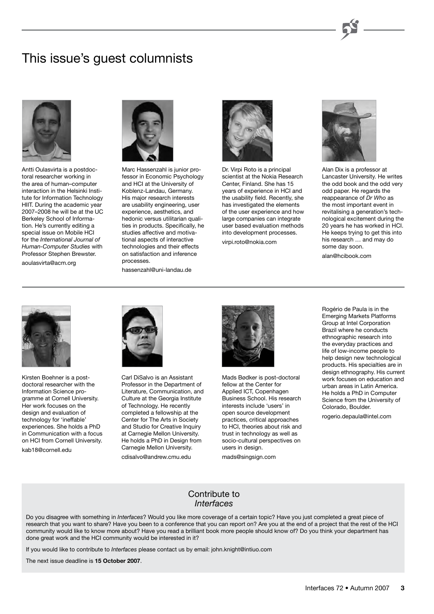# This issue's guest columnists



Antti Oulasvirta is a postdoctoral researcher working in the area of human–computer interaction in the Helsinki Institute for Information Technology HIIT. During the academic year 2007–2008 he will be at the UC Berkeley School of Information. He's currently editing a special issue on Mobile HCI for the *International Journal of Human-Computer Studies* with Professor Stephen Brewster.

aoulasvirta@acm.org



Marc Hassenzahl is junior professor in Economic Psychology and HCI at the University of Koblenz-Landau, Germany. His major research interests are usability engineering, user experience, aesthetics, and hedonic versus utilitarian qualities in products. Specifically, he studies affective and motivational aspects of interactive technologies and their effects on satisfaction and inference processes.

hassenzahl@uni-landau.de



Dr. Virpi Roto is a principal scientist at the Nokia Research Center, Finland. She has 15 years of experience in HCI and the usability field. Recently, she has investigated the elements of the user experience and how large companies can integrate user based evaluation methods into development processes. virpi.roto@nokia.com



Alan Dix is a professor at Lancaster University. He writes the odd book and the odd very odd paper. He regards the reappearance of *Dr Who* as the most important event in revitalising a generation's technological excitement during the 20 years he has worked in HCI. He keeps trying to get this into his research … and may do some day soon.

alan@hcibook.com



Kirsten Boehner is a postdoctoral researcher with the Information Science programme at Cornell University. Her work focuses on the design and evaluation of technology for 'ineffable' experiences. She holds a PhD in Communication with a focus on HCI from Cornell University. kab18@cornell.edu



Carl DiSalvo is an Assistant Professor in the Department of Literature, Communication, and Culture at the Georgia Institute of Technology. He recently completed a fellowship at the Center for The Arts in Society and Studio for Creative Inquiry at Carnegie Mellon University. He holds a PhD in Design from Carnegie Mellon University. cdisalvo@andrew.cmu.edu



Mads Bødker is post-doctoral fellow at the Center for Applied ICT, Copenhagen Business School. His research interests include 'users' in open source development practices, critical approaches to HCI, theories about risk and trust in technology as well as socio-cultural perspectives on users in design. mads@singsign.com

Rogério de Paula is in the Emerging Markets Platforms Group at Intel Corporation Brazil where he conducts ethnographic research into the everyday practices and life of low-income people to help design new technological products. His specialties are in design ethnography. His current work focuses on education and urban areas in Latin America. He holds a PhD in Computer Science from the University of Colorado, Boulder.

rogerio.depaula@intel.com

### Contribute to *Interfaces*

Do you disagree with something in *Interfaces*? Would you like more coverage of a certain topic? Have you just completed a great piece of research that you want to share? Have you been to a conference that you can report on? Are you at the end of a project that the rest of the HCI community would like to know more about? Have you read a brilliant book more people should know of? Do you think your department has done great work and the HCI community would be interested in it?

If you would like to contribute to *Interfaces* please contact us by email: john.knight@intiuo.com

The next issue deadline is **15 October 2007**.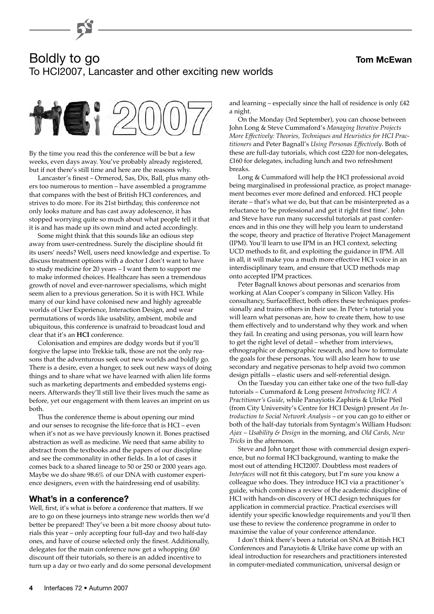#### **Tom McEwan**

# Boldly to go To HCI2007, Lancaster and other exciting new worlds



By the time you read this the conference will be but a few weeks, even days away. You've probably already registered, but if not there's still time and here are the reasons why.

Lancaster's finest – Ormerod, Sas, Dix, Ball, plus many others too numerous to mention – have assembled a programme that compares with the best of British HCI conferences, and strives to do more. For its 21st birthday, this conference not only looks mature and has cast away adolescence, it has stopped worrying quite so much about what people tell it that it is and has made up its own mind and acted accordingly.

Some might think that this sounds like an odious step away from user-centredness. Surely the discipline should fit its users' needs? Well, users need knowledge and expertise. To discuss treatment options with a doctor I don't want to have to study medicine for 20 years – I want them to support me to make informed choices. Healthcare has seen a tremendous growth of novel and ever-narrower specialisms, which might seem alien to a previous generation. So it is with HCI. While many of our kind have colonised new and highly agreeable worlds of User Experience, Interaction Design, and wear permutations of words like usability, ambient, mobile and ubiquitous, this conference is unafraid to broadcast loud and clear that it's an **HCI** conference.

Colonisation and empires are dodgy words but if you'll forgive the lapse into Trekkie talk, those are not the only reasons that the adventurous seek out new worlds and boldly go. There is a desire, even a hunger, to seek out new ways of doing things and to share what we have learned with alien life forms such as marketing departments and embedded systems engineers. Afterwards they'll still live their lives much the same as before, yet our engagement with them leaves an imprint on us both.

Thus the conference theme is about opening our mind and our senses to recognise the life-force that is HCI – even when it's not as we have previously known it. Bones practised abstraction as well as medicine. We need that same ability to abstract from the textbooks and the papers of our discipline and see the commonality in other fields. In a lot of cases it comes back to a shared lineage to 50 or 250 or 2000 years ago. Maybe we do share 98.6% of our DNA with customer experience designers, even with the hairdressing end of usability.

### **What's in a conference?**

Well, first, it's what is before a conference that matters. If we are to go on these journeys into strange new worlds then we'd better be prepared! They've been a bit more choosy about tutorials this year – only accepting four full-day and two half-day ones, and have of course selected only the finest. Additionally, delegates for the main conference now get a whopping  $£60$ discount off their tutorials, so there is an added incentive to turn up a day or two early and do some personal development and learning – especially since the hall of residence is only £42 a night.

On the Monday (3rd September), you can choose between John Long & Steve Cummaford's *Managing Iterative Projects More Effectively: Theories, Techniques and Heuristics for HCI Practitioners* and Peter Bagnall's *Using Personas Effectively*. Both of these are full-day tutorials, which cost £220 for non-delegates, £160 for delegates, including lunch and two refreshment breaks.

Long & Cummaford will help the HCI professional avoid being marginalised in professional practice, as project management becomes ever more defined and enforced. HCI people iterate – that's what we do, but that can be misinterpreted as a reluctance to 'be professional and get it right first time'. John and Steve have run many successful tutorials at past conferences and in this one they will help you learn to understand the scope, theory and practice of Iterative Project Management (IPM). You'll learn to use IPM in an HCI context, selecting UCD methods to fit, and exploiting the guidance in IPM. All in all, it will make you a much more effective HCI voice in an interdisciplinary team, and ensure that UCD methods map onto accepted IPM practices.

Peter Bagnall knows about personas and scenarios from working at Alan Cooper's company in Silicon Valley. His consultancy, SurfaceEffect, both offers these techniques professionally and trains others in their use. In Peter's tutorial you will learn what personas are, how to create them, how to use them effectively and to understand why they work and when they fail. In creating and using personas, you will learn how to get the right level of detail – whether from interviews, ethnographic or demographic research, and how to formulate the goals for these personas. You will also learn how to use secondary and negative personas to help avoid two common design pitfalls – elastic users and self-referential design.

On the Tuesday you can either take one of the two full-day tutorials – Cummaford & Long present *Introducing HCI: A Practitioner's Guide*, while Panayiotis Zaphiris & Ulrike Pfeil (from City University's Centre for HCI Design) present *An Introduction to Social Network Analysis* – or you can go to either or both of the half-day tutorials from Syntagm's William Hudson: *Ajax – Usability & Design* in the morning, and *Old Cards, New Tricks* in the afternoon.

Steve and John target those with commercial design experience, but no formal HCI background, wanting to make the most out of attending HCI2007. Doubtless most readers of *Interfaces* will not fit this category, but I'm sure you know a colleague who does. They introduce HCI via a practitioner's guide, which combines a review of the academic discipline of HCI with hands-on discovery of HCI design techniques for application in commercial practice. Practical exercises will identify your specific knowledge requirements and you'll then use these to review the conference programme in order to maximise the value of your conference attendance.

I don't think there's been a tutorial on SNA at British HCI Conferences and Panayiotis & Ulrike have come up with an ideal introduction for researchers and practitioners interested in computer-mediated communication, universal design or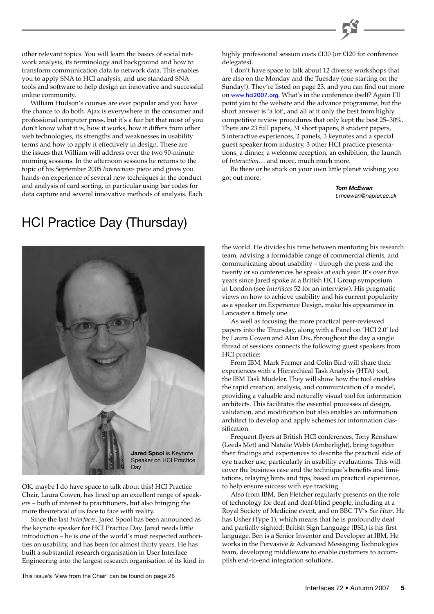other relevant topics. You will learn the basics of social network analysis, its terminology and background and how to transform communication data to network data. This enables you to apply SNA to HCI analysis, and use standard SNA tools and software to help design an innovative and successful online community.

William Hudson's courses are ever popular and you have the chance to do both. Ajax is everywhere in the consumer and professional computer press, but it's a fair bet that most of you don't know what it is, how it works, how it differs from other web technologies, its strengths and weaknesses in usability terms and how to apply it effectively in design. These are the issues that William will address over the two 90-minute morning sessions. In the afternoon sessions he returns to the topic of his September 2005 *Interactions* piece and gives you hands-on experience of several new techniques in the conduct and analysis of card sorting, in particular using bar codes for data capture and several innovative methods of analysis. Each

highly professional session costs £130 (or £120 for conference delegates).

I don't have space to talk about 12 diverse workshops that are also on the Monday and the Tuesday (one starting on the Sunday!). They're listed on page 23, and you can find out more on [www.hci2007.org](http://www.hci2007.org/). What's in the conference itself? Again I'll point you to the website and the advance programme, but the short answer is 'a lot', and all of it only the best from highly competitive review procedures that only kept the best 25–30%. There are 23 full papers, 31 short papers, 8 student papers, 5 interactive experiences, 2 panels, 3 keynotes and a special guest speaker from industry, 3 other HCI practice presentations, a dinner, a welcome reception, an exhibition, the launch of *Interaction*… and more, much much more.

Be there or be stuck on your own little planet wishing you got out more.

> *Tom McEwan t.mcewan@napier.ac.uk*

# HCI Practice Day (Thursday)



Speaker on HCI Practice Day

OK, maybe I do have space to talk about this! HCI Practice Chair, Laura Cowen, has lined up an excellent range of speakers – both of interest to practitioners, but also bringing the more theoretical of us face to face with reality.

Since the last *Interfaces*, Jared Spool has been announced as the keynote speaker for HCI Practice Day. Jared needs little introduction – he is one of the world's most respected authorities on usability, and has been for almost thirty years. He has built a substantial research organisation in User Interface Engineering into the largest research organisation of its kind in

This issue's 'View from the Chair' can be found on page 26

the world. He divides his time between mentoring his research team, advising a formidable range of commercial clients, and communicating about usability – through the press and the twenty or so conferences he speaks at each year. It's over five years since Jared spoke at a British HCI Group symposium in London (see *Interfaces* 52 for an interview). His pragmatic views on how to achieve usability and his current popularity as a speaker on Experience Design, make his appearance in Lancaster a timely one.

As well as focusing the more practical peer-reviewed papers into the Thursday, along with a Panel on 'HCI 2.0' led by Laura Cowen and Alan Dix, throughout the day a single thread of sessions connects the following guest speakers from HCI practice:

From IBM, Mark Farmer and Colin Bird will share their experiences with a Hierarchical Task Analysis (HTA) tool, the IBM Task Modeler. They will show how the tool enables the rapid creation, analysis, and communication of a model, providing a valuable and naturally visual tool for information architects. This facilitates the essential processes of design, validation, and modification but also enables an information architect to develop and apply schemes for information classification.

Frequent flyers at British HCI conferences, Tony Renshaw (Leeds Met) and Natalie Webb (Amberlight), bring together their findings and experiences to describe the practical side of eye tracker use, particularly in usability evaluations. This will cover the business case and the technique's benefits and limitations, relaying hints and tips, based on practical experience, to help ensure success with eye tracking.

Also from IBM, Ben Fletcher regularly presents on the role of technology for deaf and deaf-blind people, including at a Royal Society of Medicine event, and on BBC TV's *See Hear*. He has Usher (Type 1), which means that he is profoundly deaf and partially sighted; British Sign Language (BSL) is his first language. Ben is a Senior Inventor and Developer at IBM. He works in the Pervasive & Advanced Messaging Technologies team, developing middleware to enable customers to accomplish end-to-end integration solutions.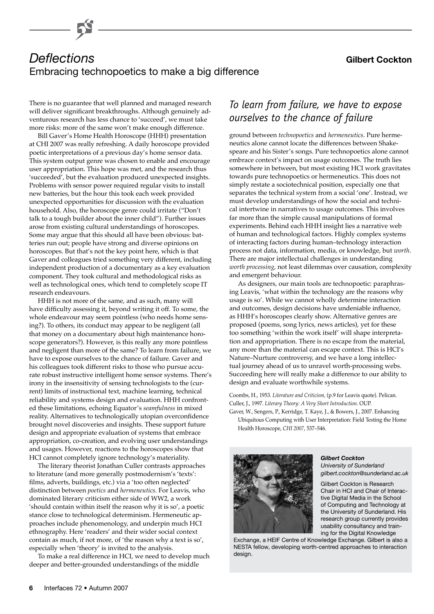# *Deflections* **Gilbert Cockton** Embracing technopoetics to make a big difference

There is no guarantee that well planned and managed research will deliver significant breakthroughs. Although genuinely adventurous research has less chance to 'succeed', we must take more risks: more of the same won't make enough difference.

Bill Gaver's Home Health Horoscope (HHH) presentation at CHI 2007 was really refreshing. A daily horoscope provided poetic interpretations of a previous day's home sensor data. This system output genre was chosen to enable and encourage user appropriation. This hope was met, and the research thus 'succeeded', but the evaluation produced unexpected insights. Problems with sensor power required regular visits to install new batteries, but the hour this took each week provided unexpected opportunities for discussion with the evaluation household. Also, the horoscope genre could irritate ("Don't talk to a tough builder about the inner child"). Further issues arose from existing cultural understandings of horoscopes. Some may argue that this should all have been obvious: batteries run out; people have strong and diverse opinions on horoscopes. But that's not the key point here, which is that Gaver and colleagues tried something very different, including independent production of a documentary as a key evaluation component. They took cultural and methodological risks as well as technological ones, which tend to completely scope IT research endeavours.

HHH is not more of the same, and as such, many will have difficulty assessing it, beyond writing it off. To some, the whole endeavour may seem pointless (who needs home sensing?). To others, its conduct may appear to be negligent (all that money on a documentary about high maintenance horoscope generators?). However, is this really any more pointless and negligent than more of the same? To learn from failure, we have to expose ourselves to the chance of failure. Gaver and his colleagues took different risks to those who pursue accurate robust instructive intelligent home sensor systems. There's irony in the insensitivity of sensing technologists to the (current) limits of instructional text, machine learning, technical reliability and systems design and evaluation. HHH confronted these limitations, echoing Equator's *seamfulness* in mixed reality. Alternatives to technologically utopian overconfidence brought novel discoveries and insights. These support future design and appropriate evaluation of systems that embrace appropriation, co-creation, and evolving user understandings and usages. However, reactions to the horoscopes show that HCI cannot completely ignore technology's materiality.

The literary theorist Jonathan Culler contrasts approaches to literature (and more generally postmodernism's 'texts': films, adverts, buildings, etc.) via a 'too often neglected' distinction between *poetics* and *hermeneutics*. For Leavis, who dominated literary criticism either side of WW2, a work 'should contain within itself the reason why it is so', a poetic stance close to technological determinism. Hermeneutic approaches include phenomenology, and underpin much HCI ethnography. Here 'readers' and their wider social context contain as much, if not more, of 'the reason why a text is so', especially when 'theory' is invited to the analysis.

To make a real difference in HCI, we need to develop much deeper and better-grounded understandings of the middle

# *To learn from failure, we have to expose ourselves to the chance of failure*

ground between *technopoetics* and *hermeneutics*. Pure hermeneutics alone cannot locate the differences between Shakespeare and his Sister's songs. Pure technopoetics alone cannot embrace context's impact on usage outcomes. The truth lies somewhere in between, but most existing HCI work gravitates towards pure technopoetics or hermeneutics. This does not simply restate a sociotechnical position, especially one that separates the technical system from a social 'one'. Instead, we must develop understandings of how the social and technical intertwine in narratives to usage outcomes. This involves far more than the simple causal manipulations of formal experiments. Behind each HHH insight lies a narrative web of human and technological factors. Highly complex systems of interacting factors during human–technology interaction process not data, information, media, or knowledge, but *worth*. There are major intellectual challenges in understanding *worth processing*, not least dilemmas over causation, complexity and emergent behaviour.

As designers, our main tools are technopoetic: paraphrasing Leavis, 'what within the technology are the reasons why usage is so'. While we cannot wholly determine interaction and outcomes, design decisions have undeniable influence, as HHH's horoscopes clearly show. Alternative genres are proposed (poems, song lyrics, news articles), yet for these too something 'within the work itself' will shape interpretation and appropriation. There is no escape from the material, any more than the material can escape context. This is HCI's Nature–Nurture controversy, and we have a long intellectual journey ahead of us to unravel worth-processing webs. Succeeding here will really make a difference to our ability to design and evaluate worthwhile systems.

Coombs, H., 1953. *Literature and Criticism,* (p.9 for Leavis quote). Pelican. Culler, J., 1997. *Literary Theory: A Very Short Introduction*. OUP.

Gaver, W., Sengers, P., Kerridge, T. Kaye, J., & Bowers, J., 2007. Enhancing Ubiquitous Computing with User Interpretation: Field Testing the Home Health Horoscope, *CHI 2007*, 537–546.



*Gilbert Cockton University of Sunderland*

*gilbert.cockton@sunderland.ac.uk*

Gilbert Cockton is Research Chair in HCI and Chair of Interactive Digital Media in the School of Computing and Technology at the University of Sunderland. His research group currently provides usability consultancy and training for the Digital Knowledge

Exchange, a HEIF Centre of Knowledge Exchange. Gilbert is also a NESTA fellow, developing worth-centred approaches to interaction design.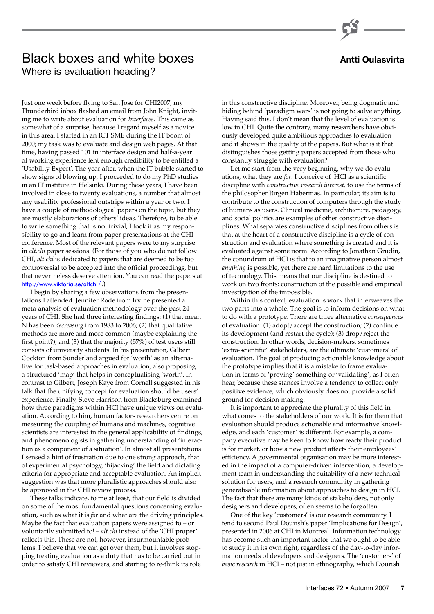# **Antti Oulasvirta**

# Black boxes and white boxes Where is evaluation heading?

Just one week before flying to San Jose for CHI2007, my Thunderbird inbox flashed an email from John Knight, inviting me to write about evaluation for *Interfaces*. This came as somewhat of a surprise, because I regard myself as a novice in this area. I started in an ICT SME during the IT boom of 2000; my task was to evaluate and design web pages. At that time, having passed 101 in interface design and half-a-year of working experience lent enough credibility to be entitled a 'Usability Expert'. The year after, when the IT bubble started to show signs of blowing up, I proceeded to do my PhD studies in an IT institute in Helsinki. During these years, I have been involved in close to twenty evaluations, a number that almost any usability professional outstrips within a year or two. I have a couple of methodological papers on the topic, but they are mostly elaborations of others' ideas. Therefore, to be able to write something that is not trivial, I took it as my responsibility to go and learn from paper presentations at the CHI conference. Most of the relevant papers were to my surprise in *alt.chi* paper sessions. (For those of you who do not follow CHI, *alt.chi* is dedicated to papers that are deemed to be too controversial to be accepted into the official proceedings, but that nevertheless deserve attention. You can read the papers at [http://www.viktoria.se/altchi](http://www.viktoria.se/altchi/)/.)

I begin by sharing a few observations from the presentations I attended. Jennifer Rode from Irvine presented a meta-analysis of evaluation methodology over the past 24 years of CHI. She had three interesting findings: (1) that mean N has been *decreasing* from 1983 to 2006; (2) that qualitative methods are more and more common (maybe explaining the first point?); and (3) that the majority (57%) of test users still consists of university students. In his presentation, Gilbert Cockton from Sunderland argued for 'worth' as an alternative for task-based approaches in evaluation, also proposing a structured 'map' that helps in conceptualising 'worth'. In contrast to Gilbert, Joseph Kaye from Cornell suggested in his talk that the unifying concept for evaluation should be users' experience. Finally, Steve Harrison from Blacksburg examined how three paradigms within HCI have unique views on evaluation. According to him, human factors researchers centre on measuring the coupling of humans and machines, cognitive scientists are interested in the general applicability of findings, and phenomenologists in gathering understanding of 'interaction as a component of a situation'. In almost all presentations I sensed a hint of frustration due to one strong approach, that of experimental psychology, 'hijacking' the field and dictating criteria for appropriate and acceptable evaluation. An implicit suggestion was that more pluralistic approaches should also be approved in the CHI review process.

These talks indicate, to me at least, that our field is divided on some of the most fundamental questions concerning evaluation, such as what it is *for* and what are the driving principles. Maybe the fact that evaluation papers were assigned to  $-$  or voluntarily submitted to! – *alt.chi* instead of the 'CHI proper' reflects this. These are not, however, insurmountable problems. I believe that we can get over them, but it involves stopping treating evaluation as a duty that has to be carried out in order to satisfy CHI reviewers, and starting to re-think its role

in this constructive discipline. Moreover, being dogmatic and hiding behind 'paradigm wars' is not going to solve anything. Having said this, I don't mean that the level of evaluation is low in CHI. Quite the contrary, many researchers have obviously developed quite ambitious approaches to evaluation and it shows in the quality of the papers. But what is it that distinguishes those getting papers accepted from those who constantly struggle with evaluation?

Let me start from the very beginning, why we do evaluations, what they are *for*. I conceive of HCI as a scientific discipline with *constructive research interest*, to use the terms of the philosopher Jürgen Habermas. In particular, its aim is to contribute to the construction of computers through the study of humans as users. Clinical medicine, architecture, pedagogy, and social politics are examples of other constructive disciplines. What separates constructive disciplines from others is that at the heart of a constructive discipline is a cycle of construction and evaluation where something is created and it is evaluated against some norm. According to Jonathan Grudin, the conundrum of HCI is that to an imaginative person almost *anything* is possible, yet there are hard limitations to the use of technology. This means that our discipline is destined to work on two fronts: construction of the possible and empirical investigation of the impossible.

Within this context, evaluation is work that interweaves the two parts into a whole. The goal is to inform decisions on what to do with a prototype. There are three alternative *consequences* of evaluation: (1) adopt/accept the construction; (2) continue its development (and restart the cycle); (3) drop/reject the construction. In other words, decision-makers, sometimes 'extra-scientific' stakeholders, are the ultimate 'customers' of evaluation. The goal of producing actionable knowledge about the prototype implies that it is a mistake to frame evaluation in terms of 'proving' something or 'validating', as I often hear, because these stances involve a tendency to collect only positive evidence, which obviously does not provide a solid ground for decision-making.

It is important to appreciate the plurality of this field in what comes to the stakeholders of our work. It is for them that evaluation should produce actionable and informative knowledge, and each 'customer' is different. For example, a company executive may be keen to know how ready their product is for market, or how a new product affects their employees' efficiency. A governmental organisation may be more interested in the impact of a computer-driven intervention, a development team in understanding the suitability of a new technical solution for users, and a research community in gathering generalisable information about approaches to design in HCI. The fact that there are many kinds of stakeholders, not only designers and developers, often seems to be forgotten.

One of the key 'customers' is our research community. I tend to second Paul Dourish's paper 'Implications for Design', presented in 2006 at CHI in Montreal. Information technology has become such an important factor that we ought to be able to study it in its own right, regardless of the day-to-day information needs of developers and designers. The 'customers' of *basic research* in HCI – not just in ethnography, which Dourish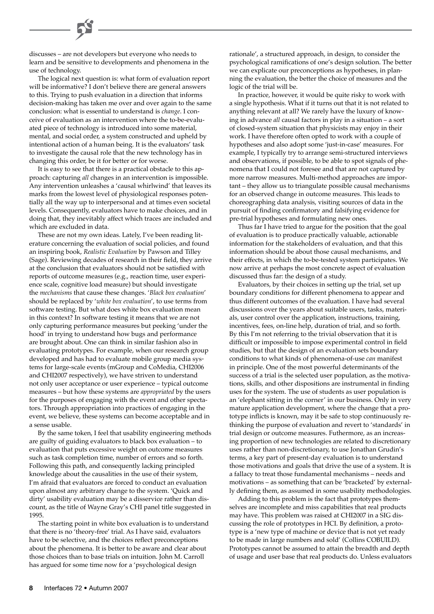discusses – are not developers but everyone who needs to learn and be sensitive to developments and phenomena in the use of technology.

The logical next question is: what form of evaluation report will be informative? I don't believe there are general answers to this. Trying to push evaluation in a direction that informs decision-making has taken me over and over again to the same conclusion: what is essential to understand is *change*. I conceive of evaluation as an intervention where the to-be-evaluated piece of technology is introduced into some material, mental, and social order, a system constructed and upheld by intentional action of a human being. It is the evaluators' task to investigate the causal role that the new technology has in changing this order, be it for better or for worse.

It is easy to see that there is a practical obstacle to this approach: capturing *all* changes in an intervention is impossible. Any intervention unleashes a 'causal whirlwind' that leaves its marks from the lowest level of physiological responses potentially all the way up to interpersonal and at times even societal levels. Consequently, evaluators have to make choices, and in doing that, they inevitably affect which traces are included and which are excluded in data.

These are not my own ideas. Lately, I've been reading literature concerning the evaluation of social policies, and found an inspiring book, *Realistic Evaluation* by Pawson and Tilley (Sage). Reviewing decades of research in their field, they arrive at the conclusion that evaluators should not be satisfied with reports of outcome measures (e.g., reaction time, user experience scale, cognitive load measure) but should investigate the *mechanisms* that cause these changes. '*Black box evaluation*' should be replaced by '*white box evaluation*', to use terms from software testing. But what does white box evaluation mean in this context? In software testing it means that we are not only capturing performance measures but peeking 'under the hood' in trying to understand how bugs and performance are brought about. One can think in similar fashion also in evaluating prototypes. For example, when our research group developed and has had to evaluate mobile group media systems for large-scale events (mGroup and CoMedia, CHI2006 and CHI2007 respectively), we have striven to understand not only user acceptance or user experience – typical outcome measures – but how these systems are *appropriated* by the users for the purposes of engaging with the event and other spectators. Through appropriation into practices of engaging in the event, we believe, these systems can become acceptable and in a sense usable.

By the same token, I feel that usability engineering methods are guilty of guiding evaluators to black box evaluation – to evaluation that puts excessive weight on outcome measures such as task completion time, number of errors and so forth. Following this path, and consequently lacking principled knowledge about the causalities in the use of their system, I'm afraid that evaluators are forced to conduct an evaluation upon almost any arbitrary change to the system. 'Quick and dirty' usability evaluation may be a disservice rather than discount, as the title of Wayne Gray's CHI panel title suggested in 1995.

The starting point in white box evaluation is to understand that there is no 'theory-free' trial. As I have said, evaluators have to be selective, and the choices reflect preconceptions about the phenomena. It is better to be aware and clear about those choices than to base trials on intuition. John M. Carroll has argued for some time now for a 'psychological design

rationale', a structured approach, in design, to consider the psychological ramifications of one's design solution. The better we can explicate our preconceptions as hypotheses, in planning the evaluation, the better the choice of measures and the logic of the trial will be.

In practice, however, it would be quite risky to work with a single hypothesis. What if it turns out that it is not related to anything relevant at all? We rarely have the luxury of knowing in advance *all* causal factors in play in a situation – a sort of closed-system situation that physicists may enjoy in their work. I have therefore often opted to work with a couple of hypotheses and also adopt some 'just-in-case' measures. For example, I typically try to arrange semi-structured interviews and observations, if possible, to be able to spot signals of phenomena that I could not foresee and that are not captured by more narrow measures. Multi-method approaches are important – they allow us to triangulate possible causal mechanisms for an observed change in outcome measures. This leads to choreographing data analysis, visiting sources of data in the pursuit of finding confirmatory and falsifying evidence for pre-trial hypotheses and formulating new ones.

Thus far I have tried to argue for the position that the goal of evaluation is to produce practically valuable, actionable information for the stakeholders of evaluation, and that this information should be about those causal mechanisms, and their effects, in which the to-be-tested system participates. We now arrive at perhaps the most concrete aspect of evaluation discussed thus far: the design of a study.

Evaluators, by their choices in setting up the trial, set up boundary conditions for different phenomena to appear and thus different outcomes of the evaluation. I have had several discussions over the years about suitable users, tasks, materials, user control over the application, instructions, training, incentives, fees, on-line help, duration of trial, and so forth. By this I'm not referring to the trivial observation that it is difficult or impossible to impose experimental control in field studies, but that the design of an evaluation sets boundary conditions to what kinds of phenomena-of-use *can* manifest in principle. One of the most powerful determinants of the success of a trial is the selected user population, as the motivations, skills, and other dispositions are instrumental in finding uses for the system. The use of students as user population is an 'elephant sitting in the corner' in our business. Only in very mature application development, where the change that a prototype inflicts is known, may it be safe to stop continuously rethinking the purpose of evaluation and revert to 'standards' in trial design or outcome measures. Futhermore, as an increasing proportion of new technologies are related to discretionary uses rather than non-discretionary, to use Jonathan Grudin's terms, a key part of present-day evaluation is to understand those motivations and goals that drive the use of a system. It is a fallacy to treat those fundamental mechanisms – needs and motivations – as something that can be 'bracketed' by externally defining them, as assumed in some usability methodologies.

Adding to this problem is the fact that prototypes themselves are incomplete and miss capabilities that real products may have. This problem was raised at CHI2007 in a SIG discussing the role of prototypes in HCI. By definition, a prototype is a 'new type of machine or device that is not yet ready to be made in large numbers and sold' (Collins COBUILD). Prototypes cannot be assumed to attain the breadth and depth of usage and user base that real products do. Unless evaluators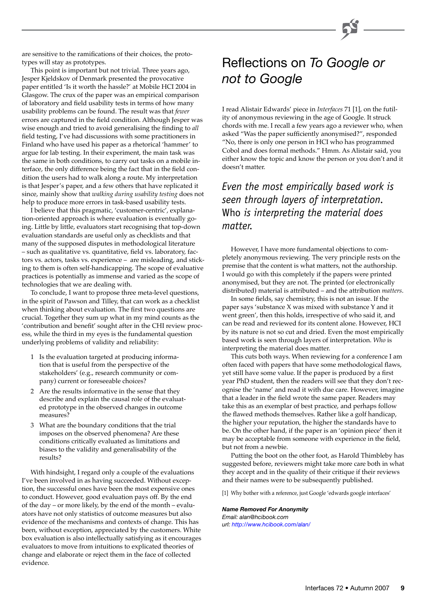are sensitive to the ramifications of their choices, the prototypes will stay as prototypes.

This point is important but not trivial. Three years ago, Jesper Kjeldskov of Denmark presented the provocative paper entitled 'Is it worth the hassle?' at Mobile HCI 2004 in Glasgow. The crux of the paper was an empirical comparison of laboratory and field usability tests in terms of how many usability problems can be found. The result was that *fewer* errors are captured in the field condition. Although Jesper was wise enough and tried to avoid generalising the finding to *all* field testing, I've had discussions with some practitioners in Finland who have used his paper as a rhetorical 'hammer' to argue for lab testing. In their experiment, the main task was the same in both conditions, to carry out tasks on a mobile interface, the only difference being the fact that in the field condition the users had to walk along a route. My interpretation is that Jesper's paper, and a few others that have replicated it since, mainly show that *walking during usability testing* does not help to produce more errors in task-based usability tests.

I believe that this pragmatic, 'customer-centric', explanation-oriented approach is where evaluation is eventually going. Little by little, evaluators start recognising that top-down evaluation standards are useful only as checklists and that many of the supposed disputes in methodological literature – such as qualitative vs. quantitative, field vs. laboratory, factors vs. actors, tasks vs. experience – are misleading, and sticking to them is often self-handicapping. The scope of evaluative practices is potentially as immense and varied as the scope of technologies that we are dealing with.

To conclude, I want to propose three meta-level questions, in the spirit of Pawson and Tilley, that can work as a checklist when thinking about evaluation. The first two questions are crucial. Together they sum up what in my mind counts as the 'contribution and benefit' sought after in the CHI review process, while the third in my eyes is the fundamental question underlying problems of validity and reliability:

- 1 Is the evaluation targeted at producing information that is useful from the perspective of the stakeholders' (e.g., research community or company) current or foreseeable choices?
- 2 Are the results informative in the sense that they describe and explain the causal role of the evaluated prototype in the observed changes in outcome measures?
- 3 What are the boundary conditions that the trial imposes on the observed phenomena? Are these conditions critically evaluated as limitations and biases to the validity and generalisability of the results?

With hindsight, I regard only a couple of the evaluations I've been involved in as having succeeded. Without exception, the successful ones have been the most expensive ones to conduct. However, good evaluation pays off. By the end of the day – or more likely, by the end of the month – evaluators have not only statistics of outcome measures but also evidence of the mechanisms and contexts of change. This has been, without exception, appreciated by the customers. White box evaluation is also intellectually satisfying as it encourages evaluators to move from intuitions to explicated theories of change and elaborate or reject them in the face of collected evidence.

# Reflections on *To Google or not to Google*

I read Alistair Edwards' piece in *Interfaces* 71 [1], on the futility of anonymous reviewing in the age of Google. It struck chords with me. I recall a few years ago a reviewer who, when asked "Was the paper sufficiently anonymised?", responded "No, there is only one person in HCI who has programmed Cobol and does formal methods." Hmm. As Alistair said, you either know the topic and know the person or you don't and it doesn't matter.

# *Even the most empirically based work is seen through layers of interpretation.*  Who *is interpreting the material does matter.*

However, I have more fundamental objections to completely anonymous reviewing. The very principle rests on the premise that the content is what matters, not the authorship. I would go with this completely if the papers were printed anonymised, but they are not. The printed (or electronically distributed) material is attributed – and the attribution *matters*.

In some fields, say chemistry, this is not an issue. If the paper says 'substance X was mixed with substance Y and it went green', then this holds, irrespective of who said it, and can be read and reviewed for its content alone. However, HCI by its nature is not so cut and dried. Even the most empirically based work is seen through layers of interpretation. *Who* is interpreting the material does matter.

This cuts both ways. When reviewing for a conference I am often faced with papers that have some methodological flaws, yet still have some value. If the paper is produced by a first year PhD student, then the readers will see that they don't recognise the 'name' and read it with due care. However, imagine that a leader in the field wrote the same paper. Readers may take this as an exemplar of best practice, and perhaps follow the flawed methods themselves. Rather like a golf handicap, the higher your reputation, the higher the standards have to be. On the other hand, if the paper is an 'opinion piece' then it may be acceptable from someone with experience in the field, but not from a newbie.

Putting the boot on the other foot, as Harold Thimbleby has suggested before, reviewers might take more care both in what they accept and in the quality of their critique if their reviews and their names were to be subsequently published.

[1] Why bother with a reference, just Google 'edwards google interfaces'

#### *Name Removed For Anonymity*

*Email: alan@hcibook.com url[: http://www.hcibook.com/alan/](http://www.hcibook.com/alan/)*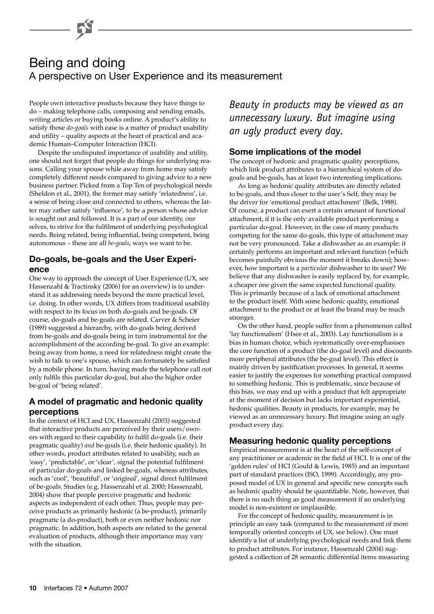# Being and doing A perspective on User Experience and its measurement

People own interactive products because they have things to do – making telephone calls, composing and sending emails, writing articles or buying books online. A product's ability to satisfy those *do-goals* with ease is a matter of product usability and utility – quality aspects at the heart of practical and academic Human–Computer Interaction (HCI).

Despite the undisputed importance of usability and utility, one should not forget that people do things for underlying reasons. Calling your spouse while away from home may satisfy completely different needs compared to giving advice to a new business partner. Picked from a Top Ten of psychological needs (Sheldon et al., 2001), the former may satisfy 'relatedness', i.e. a sense of being close and connected to others, whereas the latter may rather satisfy 'influence', to be a person whose advice is sought out and followed. It is a part of our identity, our selves, to strive for the fulfilment of underlying psychological needs. Being related, being influential, being competent, being autonomous – these are all *be-goals*, ways we want to be.

# **Do-goals, be-goals and the User Experience**

One way to approach the concept of User Experience (UX, see Hassenzahl & Tractinsky (2006) for an overview) is to understand it as addressing needs beyond the mere practical level, i.e. doing. In other words, UX differs from traditional usability with respect to its focus on both do-goals and be-goals. Of course, do-goals and be-goals are related. Carver & Scheier (1989) suggested a hierarchy, with do-goals being derived from be-goals and do-goals being in turn instrumental for the accomplishment of the according be-goal. To give an example: being away from home, a need for relatedness might create the wish to talk to one's spouse, which can fortunately be satisfied by a mobile phone. In turn, having made the telephone call not only fulfils this particular do-goal, but also the higher order be-goal of 'being related'.

# **A model of pragmatic and hedonic quality perceptions**

In the context of HCI and UX, Hassenzahl (2003) suggested that interactive products are perceived by their users/owners with regard to their capability to fulfil do-goals (i.e. their pragmatic quality) *and* be-goals (i.e. their hedonic quality). In other words, product attributes related to usability, such as 'easy', 'predictable', or 'clear', signal the potential fulfilment of particular do-goals and linked be-goals, whereas attributes, such as 'cool', 'beautiful', or 'original', signal direct fulfilment of be-goals. Studies (e.g. Hassenzahl et al. 2000; Hassenzahl, 2004) show that people perceive pragmatic and hedonic aspects as independent of each other. Thus, people may perceive products as primarily hedonic (a be-product), primarily pragmatic (a do-product), both or even neither hedonic nor pragmatic. In addition, both aspects are related to the general evaluation of products, although their importance may vary with the situation.

*Beauty in products may be viewed as an unnecessary luxury. But imagine using an ugly product every day.*

# **Some implications of the model**

The concept of hedonic and pragmatic quality perceptions, which link product attributes to a hierarchical system of dogoals and be-goals, has at least two interesting implications.

As long as hedonic quality attributes are directly related to be-goals, and thus closer to the user's Self, they may be the driver for 'emotional product attachment' (Belk, 1988). Of course, a product can exert a certain amount of functional attachment, if it is the only available product performing a particular do-goal. However, in the case of many products competing for the same do-goals, this type of attachment may not be very pronounced. Take a dishwasher as an example: it certainly performs an important and relevant function (which becomes painfully obvious the moment it breaks down); however, how important is a *particular* dishwasher to its user? We believe that any dishwasher is easily replaced by, for example, a cheaper one given the same expected functional quality. This is primarily because of a lack of emotional attachment to the product itself. With some hedonic quality, emotional attachment to the product or at least the brand may be much stronger.

On the other hand, people suffer from a phenomenon called 'lay functionalism' (Hsee et al., 2003). Lay functionalism is a bias in human choice, which systematically over-emphasises the core function of a product (the do-goal level) and discounts more peripheral attributes (the be-goal level). This effect is mainly driven by justification processes. In general, it seems easier to justify the expenses for something practical compared to something hedonic. This is problematic, since because of this bias, we may end up with a product that felt appropriate at the moment of decision but lacks important experiential, hedonic qualities. Beauty in products, for example, may be viewed as an unnecessary luxury. But imagine using an ugly product every day.

# **Measuring hedonic quality perceptions**

Empirical measurement is at the heart of the self-concept of any practitioner or academic in the field of HCI. It is one of the 'golden rules' of HCI (Gould & Lewis, 1985) and an important part of standard practices (ISO, 1999). Accordingly, any proposed model of UX in general and specific new concepts such as hedonic quality should be quantifiable. Note, however, that there is no such thing as good measurement if an underlying model is non-existent or implausible.

For the concept of hedonic quality, measurement is in principle an easy task (compared to the measurement of more temporally oriented concepts of UX, see below). One must identify a list of underlying psychological needs and link them to product attributes. For instance, Hassenzahl (2004) suggested a collection of 28 semantic differential items measuring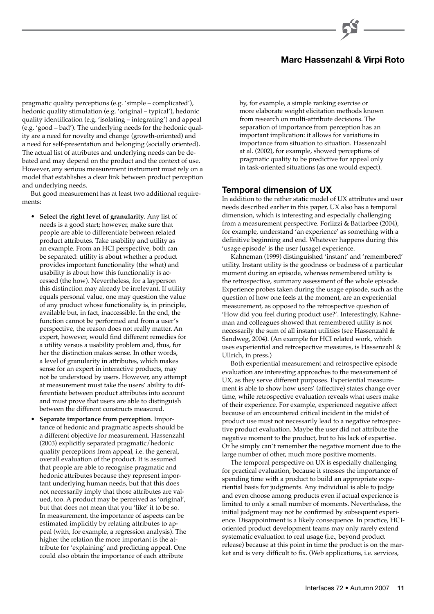# **Marc Hassenzahl & Virpi Roto**

pragmatic quality perceptions (e.g. 'simple – complicated'), hedonic quality stimulation (e.g. 'original – typical'), hedonic quality identification (e.g. 'isolating – integrating') and appeal (e.g. 'good – bad'). The underlying needs for the hedonic quality are a need for novelty and change (growth-oriented) and a need for self-presentation and belonging (socially oriented). The actual list of attributes and underlying needs can be debated and may depend on the product and the context of use. However, any serious measurement instrument must rely on a model that establishes a clear link between product perception and underlying needs.

But good measurement has at least two additional requirements:

- **Select the right level of granularity**. Any list of needs is a good start; however, make sure that people are able to differentiate between related product attributes. Take usability and utility as an example. From an HCI perspective, both can be separated: utility is about whether a product provides important functionality (the what) and usability is about how this functionality is accessed (the how). Nevertheless, for a layperson this distinction may already be irrelevant. If utility equals personal value, one may question the value of any product whose functionality is, in principle, available but, in fact, inaccessible. In the end, the function cannot be performed and from a user's perspective, the reason does not really matter. An expert, however, would find different remedies for a utility versus a usability problem and, thus, for her the distinction makes sense. In other words, a level of granularity in attributes, which makes sense for an expert in interactive products, may not be understood by users. However, any attempt at measurement must take the users' ability to differentiate between product attributes into account and must prove that users are able to distinguish between the different constructs measured.
- **Separate importance from perception**. Importance of hedonic and pragmatic aspects should be a different objective for measurement. Hassenzahl (2003) explicitly separated pragmatic/hedonic quality perceptions from appeal, i.e. the general, overall evaluation of the product. It is assumed that people are able to recognise pragmatic and hedonic attributes because they represent important underlying human needs, but that this does not necessarily imply that those attributes are valued, too. A product may be perceived as 'original', but that does not mean that you 'like' it to be so. In measurement, the importance of aspects can be estimated implicitly by relating attributes to appeal (with, for example, a regression analysis). The higher the relation the more important is the attribute for 'explaining' and predicting appeal. One could also obtain the importance of each attribute

by, for example, a simple ranking exercise or more elaborate weight elicitation methods known from research on multi-attribute decisions. The separation of importance from perception has an important implication: it allows for variations in importance from situation to situation. Hassenzahl at al. (2002), for example, showed perceptions of pragmatic quality to be predictive for appeal only in task-oriented situations (as one would expect).

#### **Temporal dimension of UX**

In addition to the rather static model of UX attributes and user needs described earlier in this paper, UX also has a temporal dimension, which is interesting and especially challenging from a measurement perspective. Forlizzi & Battarbee (2004), for example, understand 'an experience' as something with a definitive beginning and end. Whatever happens during this 'usage episode' is the user (usage) experience.

Kahneman (1999) distinguished 'instant' and 'remembered' utility. Instant utility is the goodness or badness of a particular moment during an episode, whereas remembered utility is the retrospective, summary assessment of the whole episode. Experience probes taken during the usage episode, such as the question of how one feels at the moment, are an experiential measurement, as opposed to the retrospective question of 'How did you feel during product use?'. Interestingly, Kahneman and colleagues showed that remembered utility is not necessarily the sum of all instant utilities (see Hassenzahl & Sandweg, 2004). (An example for HCI related work, which uses experiential and retrospective measures, is Hassenzahl & Ullrich, in press.)

Both experiential measurement and retrospective episode evaluation are interesting approaches to the measurement of UX, as they serve different purposes. Experiential measurement is able to show how users' (affective) states change over time, while retrospective evaluation reveals what users make of their experience. For example, experienced negative affect because of an encountered critical incident in the midst of product use must not necessarily lead to a negative retrospective product evaluation. Maybe the user did not attribute the negative moment to the product, but to his lack of expertise. Or he simply can't remember the negative moment due to the large number of other, much more positive moments.

The temporal perspective on  $\overline{UX}$  is especially challenging for practical evaluation, because it stresses the importance of spending time with a product to build an appropriate experiential basis for judgments. Any individual is able to judge and even choose among products even if actual experience is limited to only a small number of moments. Nevertheless, the initial judgment may not be confirmed by subsequent experience. Disappointment is a likely consequence. In practice, HCIoriented product development teams may only rarely extend systematic evaluation to real usage (i.e., beyond product release) because at this point in time the product is on the market and is very difficult to fix. (Web applications, i.e. services,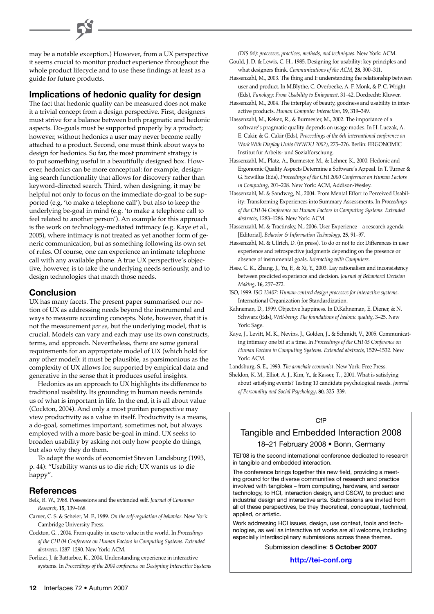may be a notable exception.) However, from a UX perspective it seems crucial to monitor product experience throughout the whole product lifecycle and to use these findings at least as a guide for future products.

### **Implications of hedonic quality for design**

The fact that hedonic quality can be measured does not make it a trivial concept from a design perspective. First, designers must strive for a balance between both pragmatic and hedonic aspects. Do-goals must be supported properly by a product; however, without hedonics a user may never become really attached to a product. Second, one must think about ways to design for hedonics. So far, the most prominent strategy is to put something useful in a beautifully designed box. However, hedonics can be more conceptual: for example, designing search functionality that allows for discovery rather than keyword-directed search. Third, when designing, it may be helpful not only to focus on the immediate do-goal to be supported (e.g. 'to make a telephone call'), but also to keep the underlying be-goal in mind (e.g. 'to make a telephone call to feel related to another person'). An example for this approach is the work on technology-mediated intimacy (e.g. Kaye et al., 2005), where intimacy is not treated as yet another form of generic communication, but as something following its own set of rules. Of course, one can experience an intimate telephone call with any available phone. A true UX perspective's objective, however, is to take the underlying needs seriously, and to design technologies that match those needs.

### **Conclusion**

UX has many facets. The present paper summarised our notion of UX as addressing needs beyond the instrumental and ways to measure according concepts. Note, however, that it is not the measurement *per se*, but the underlying model, that is crucial. Models can vary and each may use its own constructs, terms, and approach. Nevertheless, there are some general requirements for an appropriate model of UX (which hold for any other model): it must be plausible, as parsimonious as the complexity of UX allows for, supported by empirical data and generative in the sense that it produces useful insights.

Hedonics as an approach to UX highlights its difference to traditional usability. Its grounding in human needs reminds us of what is important in life. In the end, it is all about value (Cockton, 2004). And only a most puritan perspective may view productivity as a value in itself. Productivity is a means, a do-goal, sometimes important, sometimes not, but always employed with a more basic be-goal in mind. UX seeks to broaden usability by asking not only how people do things, but also why they do them.

To adapt the words of economist Steven Landsburg (1993, p. 44): "Usability wants us to die rich; UX wants us to die happy".

### **References**

Belk, R. W., 1988. Possessions and the extended self. *Journal of Consumer Research*, **15**, 139–168.

- Carver, C. S. & Scheier, M. F., 1989. *On the self-regulation of behavior*. New York: Cambridge University Press.
- Cockton, G. , 2004. From quality in use to value in the world. In *Proceedings of the CHI 04 Conference on Human Factors in Computing Systems. Extended abstracts*, 1287–1290. New York: ACM.
- Forlizzi, J. & Battarbee, K., 2004. Understanding experience in interactive systems. In *Proceedings of the 2004 conference on Designing Interactive Systems*

*(DIS 04): processes, practices, methods, and techniques*. New York: ACM.

- Gould, J. D. & Lewis, C. H., 1985. Designing for usability: key principles and what designers think. *Communications of the ACM*, **28**, 300–311.
- Hassenzahl, M., 2003. The thing and I: understanding the relationship between user and product. In M.Blythe, C. Overbeeke, A. F. Monk, & P. C. Wright (Eds), *Funology: From Usability to Enjoyment*, 31–42. Dordrecht: Kluwer.
- Hassenzahl, M., 2004. The interplay of beauty, goodness and usability in interactive products. *Human Computer Interaction*, **19**, 319–349.
- Hassenzahl, M., Kekez, R., & Burmester, M., 2002. The importance of a software's pragmatic quality depends on usage modes. In H. Luczak, A. E. Cakir, & G. Cakir (Eds), *Proceedings of the 6th international conference on Work With Display Units (WWDU 2002)*, 275–276. Berlin: ERGONOMIC Institut für Arbeits- und Sozialforschung.
- Hassenzahl, M., Platz, A., Burmester, M., & Lehner, K., 2000. Hedonic and Ergonomic Quality Aspects Determine a Software's Appeal. In T. Turner & G. Szwillus (Eds), *Proceedings of the CHI 2000 Conference on Human Factors in Computing*, 201–208. New York: ACM, Addison-Wesley.
- Hassenzahl, M. & Sandweg, N., 2004. From Mental Effort to Perceived Usability: Transforming Experiences into Summary Assessments. In *Proceedings of the CHI 04 Conference on Human Factors in Computing Systems. Extended abstracts*, 1283–1286. New York: ACM.
- Hassenzahl, M. & Tractinsky, N., 2006. User Experience a research agenda [Editorial]. *Behavior & Information Technology*, **25**, 91–97.
- Hassenzahl, M. & Ullrich, D. (in press). To do or not to do: Differences in user experience and retrospective judgments depending on the presence or absence of instrumental goals. *Interacting with Computers.*
- Hsee, C. K., Zhang, J., Yu, F., & Xi, Y., 2003. Lay rationalism and inconsistency between predicted experience and decision. *Journal of Behavioral Decision Making*, **16**, 257–272.
- ISO, 1999. *ISO 13407: Human-centred design processes for interactive systems.* International Organization for Standardization.
- Kahneman, D., 1999. Objective happiness. In D.Kahneman, E. Diener, & N. Schwarz (Eds), *Well-being: The foundations of hedonic quality*, 3–25. New York: Sage.
- Kaye, J., Levitt, M. K., Nevins, J., Golden, J., & Schmidt, V., 2005. Communicating intimacy one bit at a time. In *Proceedings of the CHI 05 Conference on Human Factors in Computing Systems. Extended abstracts*, 1529–1532. New York: ACM.
- Landsburg, S. E., 1993. *The armchair economist*. New York: Free Press.
- Sheldon, K. M., Elliot, A. J., Kim, Y., & Kasser, T. , 2001. What is satisfying about satisfying events? Testing 10 candidate psychological needs. *Journal of Personality and Social Psychology*, **80**, 325–339.

### CfP

# Tangible and Embedded Interaction 2008 18–21 February 2008 • Bonn, Germany

TEI'08 is the second international conference dedicated to research in tangible and embedded interaction.

The conference brings together this new field, providing a meeting ground for the diverse communities of research and practice involved with tangibles – from computing, hardware, and sensor technology, to HCI, interaction design, and CSCW, to product and industrial design and interactive arts. Submissions are invited from all of these perspectives, be they theoretical, conceptual, technical, applied, or artistic.

Work addressing HCI issues, design, use context, tools and technologies, as well as interactive art works are all welcome, including especially interdisciplinary submissions across these themes.

Submission deadline: **5 October 2007**

#### **[http://tei-conf.org](http://tei-conf.org/)**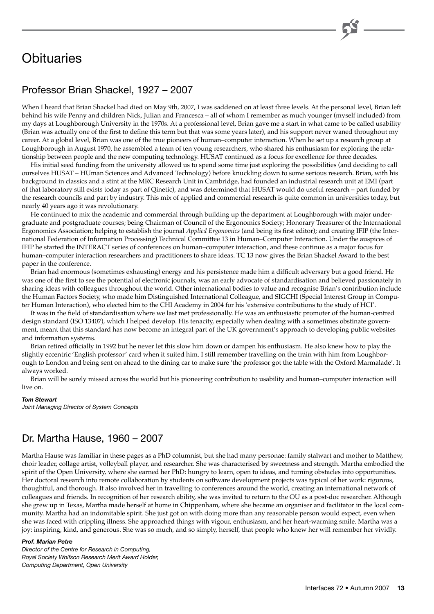# **Obituaries**

# Professor Brian Shackel, 1927 – 2007

When I heard that Brian Shackel had died on May 9th, 2007, I was saddened on at least three levels. At the personal level, Brian left behind his wife Penny and children Nick, Julian and Francesca – all of whom I remember as much younger (myself included) from my days at Loughborough University in the 1970s. At a professional level, Brian gave me a start in what came to be called usability (Brian was actually one of the first to define this term but that was some years later), and his support never waned throughout my career. At a global level, Brian was one of the true pioneers of human–computer interaction. When he set up a research group at Loughborough in August 1970, he assembled a team of ten young researchers, who shared his enthusiasm for exploring the relationship between people and the new computing technology. HUSAT continued as a focus for excellence for three decades.

His initial seed funding from the university allowed us to spend some time just exploring the possibilities (and deciding to call ourselves HUSAT – HUman Sciences and Advanced Technology) before knuckling down to some serious research. Brian, with his background in classics and a stint at the MRC Research Unit in Cambridge, had founded an industrial research unit at EMI (part of that laboratory still exists today as part of Qinetic), and was determined that HUSAT would do useful research – part funded by the research councils and part by industry. This mix of applied and commercial research is quite common in universities today, but nearly 40 years ago it was revolutionary.

He continued to mix the academic and commercial through building up the department at Loughborough with major undergraduate and postgraduate courses; being Chairman of Council of the Ergonomics Society; Honorary Treasurer of the International Ergonomics Association; helping to establish the journal *Applied Ergonomics* (and being its first editor); and creating IFIP (the International Federation of Information Processing) Technical Committee 13 in Human–Computer Interaction. Under the auspices of IFIP he started the INTERACT series of conferences on human–computer interaction, and these continue as a major focus for human–computer interaction researchers and practitioners to share ideas. TC 13 now gives the Brian Shackel Award to the best paper in the conference.

Brian had enormous (sometimes exhausting) energy and his persistence made him a difficult adversary but a good friend. He was one of the first to see the potential of electronic journals, was an early advocate of standardisation and believed passionately in sharing ideas with colleagues throughout the world. Other international bodies to value and recognise Brian's contribution include the Human Factors Society, who made him Distinguished International Colleague, and SIGCHI (Special Interest Group in Computer Human Interaction), who elected him to the CHI Academy in 2004 for his 'extensive contributions to the study of HCI'.

It was in the field of standardisation where we last met professionally. He was an enthusiastic promoter of the human-centred design standard (ISO 13407), which I helped develop. His tenacity, especially when dealing with a sometimes obstinate government, meant that this standard has now become an integral part of the UK government's approach to developing public websites and information systems.

Brian retired officially in 1992 but he never let this slow him down or dampen his enthusiasm. He also knew how to play the slightly eccentric 'English professor' card when it suited him. I still remember travelling on the train with him from Loughborough to London and being sent on ahead to the dining car to make sure 'the professor got the table with the Oxford Marmalade'. It always worked.

Brian will be sorely missed across the world but his pioneering contribution to usability and human–computer interaction will live on.

#### *Tom Stewart*

*Joint Managing Director of System Concepts* 

# Dr. Martha Hause, 1960 – 2007

Martha Hause was familiar in these pages as a PhD columnist, but she had many personae: family stalwart and mother to Matthew, choir leader, collage artist, volleyball player, and researcher. She was characterised by sweetness and strength. Martha embodied the spirit of the Open University, where she earned her PhD: hungry to learn, open to ideas, and turning obstacles into opportunities. Her doctoral research into remote collaboration by students on software development projects was typical of her work: rigorous, thoughtful, and thorough. It also involved her in travelling to conferences around the world, creating an international network of colleagues and friends. In recognition of her research ability, she was invited to return to the OU as a post-doc researcher. Although she grew up in Texas, Martha made herself at home in Chippenham, where she became an organiser and facilitator in the local community. Martha had an indomitable spirit. She just got on with doing more than any reasonable person would expect, even when she was faced with crippling illness. She approached things with vigour, enthusiasm, and her heart-warming smile. Martha was a joy: inspiring, kind, and generous. She was so much, and so simply, herself, that people who knew her will remember her vividly.

#### *Prof. Marian Petre*

*Director of the Centre for Research in Computing, Royal Society Wolfson Research Merit Award Holder, Computing Department, Open University*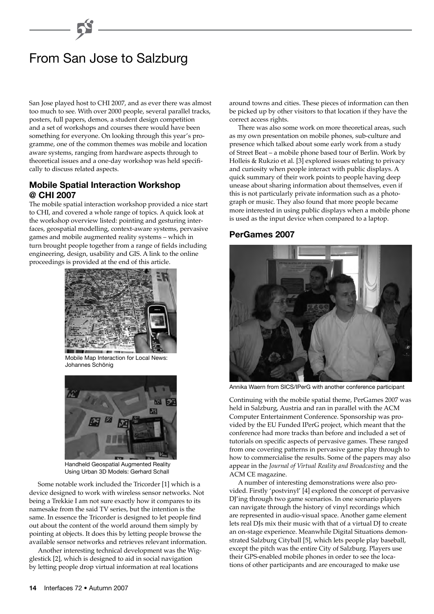# From San Jose to Salzburg

San Jose played host to CHI 2007, and as ever there was almost too much to see. With over 2000 people, several parallel tracks, posters, full papers, demos, a student design competition and a set of workshops and courses there would have been something for everyone. On looking through this year's programme, one of the common themes was mobile and location aware systems, ranging from hardware aspects through to theoretical issues and a one-day workshop was held specifically to discuss related aspects.

# **Mobile Spatial Interaction Workshop @ CHI 2007**

The mobile spatial interaction workshop provided a nice start to CHI, and covered a whole range of topics. A quick look at the workshop overview listed: pointing and gesturing interfaces, geospatial modelling, context-aware systems, pervasive games and mobile augmented reality systems – which in turn brought people together from a range of fields including engineering, design, usability and GIS. A link to the online proceedings is provided at the end of this article.



Mobile Map Interaction for Local News: Johannes Schönig



Handheld Geospatial Augmented Reality Using Urban 3D Models: Gerhard Schall

Some notable work included the Tricorder [1] which is a device designed to work with wireless sensor networks. Not being a Trekkie I am not sure exactly how it compares to its namesake from the said TV series, but the intention is the same. In essence the Tricorder is designed to let people find out about the content of the world around them simply by pointing at objects. It does this by letting people browse the available sensor networks and retrieves relevant information.

Another interesting technical development was the Wigglestick [2], which is designed to aid in social navigation by letting people drop virtual information at real locations

around towns and cities. These pieces of information can then be picked up by other visitors to that location if they have the correct access rights.

There was also some work on more theoretical areas, such as my own presentation on mobile phones, sub-culture and presence which talked about some early work from a study of Street Beat – a mobile phone based tour of Berlin. Work by Holleis & Rukzio et al. [3] explored issues relating to privacy and curiosity when people interact with public displays. A quick summary of their work points to people having deep unease about sharing information about themselves, even if this is not particularly private information such as a photograph or music. They also found that more people became more interested in using public displays when a mobile phone is used as the input device when compared to a laptop.

# **PerGames 2007**



Annika Waern from SICS/IPerG with another conference participant

Continuing with the mobile spatial theme, PerGames 2007 was held in Salzburg, Austria and ran in parallel with the ACM Computer Entertainment Conference. Sponsorship was provided by the EU Funded IPerG project, which meant that the conference had more tracks than before and included a set of tutorials on specific aspects of pervasive games. These ranged from one covering patterns in pervasive game play through to how to commercialise the results. Some of the papers may also appear in the *Journal of Virtual Reality and Broadcasting* and the ACM CE magazine.

A number of interesting demonstrations were also provided. Firstly 'postvinyl' [4] explored the concept of pervasive DJ'ing through two game scenarios. In one scenario players can navigate through the history of vinyl recordings which are represented in audio-visual space. Another game element lets real DJs mix their music with that of a virtual DJ to create an on-stage experience. Meanwhile Digital Situations demonstrated Salzburg Cityball [5], which lets people play baseball, except the pitch was the entire City of Salzburg. Players use their GPS-enabled mobile phones in order to see the locations of other participants and are encouraged to make use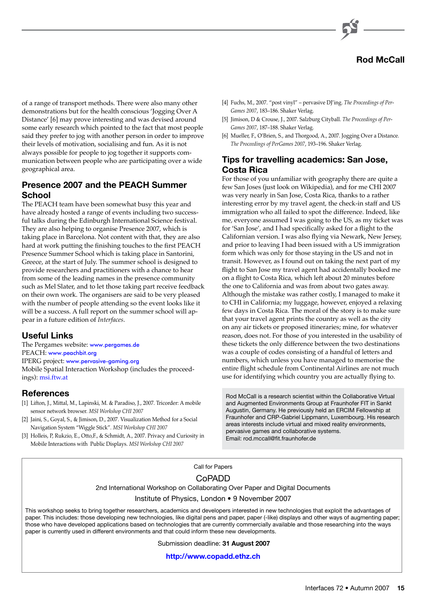

of a range of transport methods. There were also many other demonstrations but for the health conscious 'Jogging Over A Distance' [6] may prove interesting and was devised around some early research which pointed to the fact that most people said they prefer to jog with another person in order to improve their levels of motivation, socialising and fun. As it is not always possible for people to jog together it supports communication between people who are participating over a wide geographical area.

# **Presence 2007 and the PEACH Summer School**

The PEACH team have been somewhat busy this year and have already hosted a range of events including two successful talks during the Edinburgh International Science festival. They are also helping to organise Presence 2007, which is taking place in Barcelona. Not content with that, they are also hard at work putting the finishing touches to the first PEACH Presence Summer School which is taking place in Santorini, Greece, at the start of July. The summer school is designed to provide researchers and practitioners with a chance to hear from some of the leading names in the presence community such as Mel Slater, and to let those taking part receive feedback on their own work. The organisers are said to be very pleased with the number of people attending so the event looks like it will be a success. A full report on the summer school will appear in a future edition of *Interfaces*.

### **Useful Links**

The Pergames website: [www.pergames.de](http://www.pergames.de/) PEACH: [www.peachbit.org](http://www.peachbit.org/) IPERG project: [www.pervasive-gaming.org](http://www.pervasive-gaming.org/) Mobile Spatial Interaction Workshop (includes the proceedings)[: msi.ftw.at](http://msi.ftw.at/)

# **References**

- [1] Lifton, J., Mittal, M., Lapinski, M. & Paradiso, J., 2007. Tricorder: A mobile sensor network browser. *MSI Workshop CHI 2007*
- [2] Jaini, S., Goyal, S., & Jimison, D., 2007. Visualization Method for a Social Navigation System "Wiggle Stick". *MSI Workshop CHI 2007*
- [3] Holleis, P, Rukzio, E., Otto,F., & Schmidt, A., 2007. Privacy and Curiosity in Mobile Interactions with Public Displays. *MSI Workshop CHI 2007*
- [4] Fuchs, M., 2007. "post vinyl" pervasive DJ'ing. *The Proceedings of Per-Games 2007*, 183–186. Shaker Verlag.
- [5] Jimison, D & Crouse, J., 2007. Salzburg Cityball. *The Proceedings of Per-Games 2007*, 187–188. Shaker Verlag.
- [6] Mueller, F., O'Brien, S., and Thorgood, A., 2007. Jogging Over a Distance. *The Proceedings of PerGames 2007*, 193–196. Shaker Verlag.

# **Tips for travelling academics: San Jose, Costa Rica**

For those of you unfamiliar with geography there are quite a few San Joses (just look on Wikipedia), and for me CHI 2007 was very nearly in San Jose, Costa Rica, thanks to a rather interesting error by my travel agent, the check-in staff and US immigration who all failed to spot the difference. Indeed, like me, everyone assumed I was going to the US, as my ticket was for 'San Jose', and I had specifically asked for a flight to the Californian version. I was also flying via Newark, New Jersey, and prior to leaving I had been issued with a US immigration form which was only for those staying in the US and not in transit. However, as I found out on taking the next part of my flight to San Jose my travel agent had accidentally booked me on a flight to Costa Rica, which left about 20 minutes before the one to California and was from about two gates away. Although the mistake was rather costly, I managed to make it to CHI in California; my luggage, however, enjoyed a relaxing few days in Costa Rica. The moral of the story is to make sure that your travel agent prints the country as well as the city on any air tickets or proposed itineraries; mine, for whatever reason, does not. For those of you interested in the usability of these tickets the only difference between the two destinations was a couple of codes consisting of a handful of letters and numbers, which unless you have managed to memorise the entire flight schedule from Continental Airlines are not much use for identifying which country you are actually flying to.

Rod McCall is a research scientist within the Collaborative Virtual and Augmented Environments Group at Fraunhofer FIT in Sankt Augustin, Germany. He previously held an ERCIM Fellowship at Fraunhofer and CRP-Gabriel Lippmann, Luxembourg. His research areas interests include virtual and mixed reality environments, pervasive games and collaborative systems. Email: rod.mccall@fit.fraunhofer.de

# Call for Papers CoPADD 2nd International Workshop on Collaborating Over Paper and Digital Documents Institute of Physics, London • 9 November 2007

This workshop seeks to bring together researchers, academics and developers interested in new technologies that exploit the advantages of paper. This includes: those developing new technologies, like digital pens and paper, paper (-like) displays and other ways of augmenting paper; those who have developed applications based on technologies that are currently commercially available and those researching into the ways paper is currently used in different environments and that could inform these new developments.

Submission deadline: **31 August 2007**

**[http://www.copadd.ethz.ch](http://www.copadd.ethz.ch/)**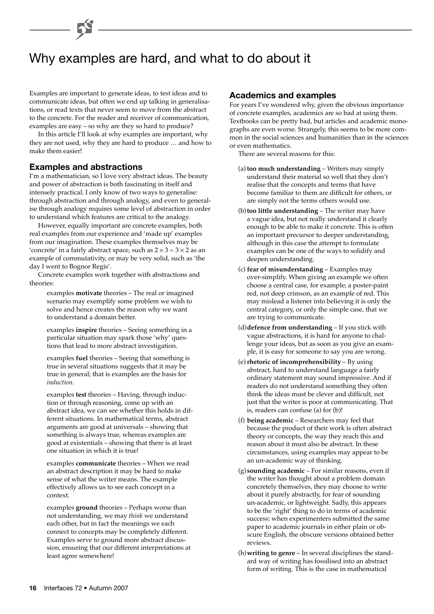# Why examples are hard, and what to do about it

Examples are important to generate ideas, to test ideas and to communicate ideas, but often we end up talking in generalisations, or read texts that never seem to move from the abstract to the concrete. For the reader and receiver of communication, examples are easy – so why are they so hard to produce?

In this article I'll look at why examples are important, why they are not used, why they are hard to produce … and how to make them easier!

### **Examples and abstractions**

I'm a mathematician, so I love very abstract ideas. The beauty and power of abstraction is both fascinating in itself and intensely practical. I only know of two ways to generalise: through abstraction and through analogy, and even to generalise through analogy requires some level of abstraction in order to understand which features are critical to the analogy.

However, equally important are concrete examples, both real examples from our experience and 'made up' examples from our imagination. These examples themselves may be 'concrete' in a fairly abstract space, such as  $2 \times 3 = 3 \times 2$  as an example of commutativity, or may be very solid, such as 'the day I went to Bognor Regis'.

Concrete examples work together with abstractions and theories:

> examples **motivate** theories – The real or imagined scenario may exemplify some problem we wish to solve and hence creates the reason why we want to understand a domain better.

examples **inspire** theories – Seeing something in a particular situation may spark those 'why' questions that lead to more abstract investigation.

examples **fuel** theories – Seeing that something is true in several situations suggests that it may be true in general; that is examples are the basis for *induction*.

examples **test** theories – Having, through induction or through reasoning, come up with an abstract idea, we can see whether this holds in different situations. In mathematical terms, abstract arguments are good at universals – showing that something is always true, whereas examples are good at existentials – showing that there is at least one situation in which it is true!

examples **communicate** theories – When we read an abstract description it may be hard to make sense of what the writer means. The example effectively allows us to see each concept in a context.

examples **ground** theories – Perhaps worse than not understanding, we may *think* we understand each other, but in fact the meanings we each connect to concepts may be completely different. Examples serve to ground more abstract discussion, ensuring that our different interpretations at least agree somewhere!

### **Academics and examples**

For years I've wondered why, given the obvious importance of concrete examples, academics are so bad at using them. Textbooks can be pretty bad, but articles and academic monographs are even worse. Strangely, this seems to be more common in the social sciences and humanities than in the sciences or even mathematics.

There are several reasons for this:

- (a) **too much understanding** Writers may simply understand their material so well that they don't realise that the concepts and terms that have become familiar to them are difficult for others, or are simply not the terms others would use.
- (b)**too little understanding** The writer may have a vague idea, but not really understand it clearly enough to be able to make it concrete. This is often an important precursor to deeper understanding, although in this case the attempt to formulate examples can be one of the ways to solidify and deepen understanding.
- (c) **fear of misunderstanding** Examples may over-simplify. When giving an example we often choose a central case, for example; a poster-paint red, not deep crimson, as an example of red. This may mislead a listener into believing it is only the central category, or only the simple case, that we are trying to communicate.
- (d)**defence from understanding** If you stick with vague abstractions, it is hard for anyone to challenge your ideas, but as soon as you give an example, it is easy for someone to say you are wrong.
- (e)**rhetoric of incomprehensibility** By using abstract, hard to understand language a fairly ordinary statement may sound impressive. And if readers do not understand something they often think the ideas must be clever and difficult, not just that the writer is poor at communicating. That is, readers can confuse (a) for (b)!
- (f) **being academic** Researchers may feel that because the product of their work is often abstract theory or concepts, the way they reach this and reason about it must also be abstract. In these circumstances, using examples may appear to be an un-academic way of thinking.
- (g) **sounding academic** For similar reasons, even if the writer has thought about a problem domain concretely themselves, they may choose to write about it purely abstractly, for fear of sounding un-academic, or lightweight. Sadly, this appears to be the 'right' thing to do in terms of academic success: when experimenters submitted the same paper to academic journals in either plain or obscure English, the obscure versions obtained better reviews.
- (h)**writing to genre** In several disciplines the standard way of writing has fossilised into an abstract form of writing. This is the case in mathematical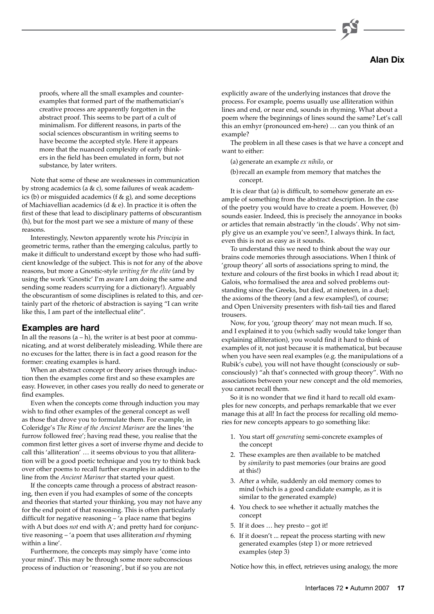# **Alan Dix**

proofs, where all the small examples and counterexamples that formed part of the mathematician's creative process are apparently forgotten in the abstract proof. This seems to be part of a cult of minimalism. For different reasons, in parts of the social sciences obscurantism in writing seems to have become the accepted style. Here it appears more that the nuanced complexity of early thinkers in the field has been emulated in form, but not substance, by later writers.

Note that some of these are weaknesses in communication by strong academics (a & c), some failures of weak academics (b) or misguided academics ( $f$  & g), and some deceptions of Machiavellian academics (d  $\&$  e). In practice it is often the first of these that lead to disciplinary patterns of obscurantism (h), but for the most part we see a mixture of many of these reasons.

Interestingly, Newton apparently wrote his *Principia* in geometric terms, rather than the emerging calculus, partly to make it difficult to understand except by those who had sufficient knowledge of the subject. This is not for any of the above reasons, but more a Gnostic-style *writing for the elite* (and by using the work 'Gnostic' I'm aware I am doing the same and sending some readers scurrying for a dictionary!). Arguably the obscurantism of some disciplines is related to this, and certainly part of the rhetoric of abstraction is saying "I can write like this, I am part of the intellectual elite".

### **Examples are hard**

In all the reasons  $(a - h)$ , the writer is at best poor at communicating, and at worst deliberately misleading. While there are no excuses for the latter, there is in fact a good reason for the former: creating examples is hard.

When an abstract concept or theory arises through induction then the examples come first and so these examples are easy. However, in other cases you really do need to generate or find examples.

Even when the concepts come through induction you may wish to find other examples of the general concept as well as those that drove you to formulate them. For example, in Coleridge's *The Rime of the Ancient Mariner* are the lines 'the furrow followed free'; having read these, you realise that the common first letter gives a sort of inverse rhyme and decide to call this 'alliteration' … it seems obvious to you that alliteration will be a good poetic technique and you try to think back over other poems to recall further examples in addition to the line from the *Ancient Mariner* that started your quest.

If the concepts came through a process of abstract reasoning, then even if you had examples of some of the concepts and theories that started your thinking, you may not have any for the end point of that reasoning. This is often particularly difficult for negative reasoning – 'a place name that begins with A but does *not* end with A'; and pretty hard for conjunctive reasoning – 'a poem that uses alliteration *and* rhyming within a line'.

Furthermore, the concepts may simply have 'come into your mind'. This may be through some more subconscious process of induction or 'reasoning', but if so you are not

explicitly aware of the underlying instances that drove the process. For example, poems usually use alliteration within lines and end, or near end, sounds in rhyming. What about a poem where the beginnings of lines sound the same? Let's call this an emhyr (pronounced em-here) … can you think of an example?

The problem in all these cases is that we have a concept and want to either:

- (a) generate an example *ex nihilo*, or
- (b) recall an example from memory that matches the concept.

It is clear that (a) is difficult, to somehow generate an example of something from the abstract description. In the case of the poetry you would have to create a poem. However, (b) sounds easier. Indeed, this is precisely the annoyance in books or articles that remain abstractly 'in the clouds'. Why not simply give us an example you've seen?, I always think. In fact, even this is not as easy as it sounds.

To understand this we need to think about the way our brains code memories through associations. When I think of 'group theory' all sorts of associations spring to mind, the texture and colours of the first books in which I read about it; Galois, who formalised the area and solved problems outstanding since the Greeks, but died, at nineteen, in a duel; the axioms of the theory (and a few examples!), of course; and Open University presenters with fish-tail ties and flared trousers.

Now, for you, 'group theory' may not mean much. If so, and I explained it to you (which sadly would take longer than explaining alliteration), you would find it hard to think of examples of it, not just because it is mathematical, but because when you have seen real examples (e.g. the manipulations of a Rubik's cube), you will not have thought (consciously or subconsciously) "ah that's connected with group theory". With no associations between your new concept and the old memories, you cannot recall them.

So it is no wonder that we find it hard to recall old examples for new concepts, and perhaps remarkable that we ever manage this at all! In fact the process for recalling old memories for new concepts appears to go something like:

- 1. You start off *generating* semi-concrete examples of the concept
- 2. These examples are then available to be matched by *similarity* to past memories (our brains are good at this!)
- 3. After a while, suddenly an old memory comes to mind (which is a good candidate example, as it is similar to the generated example)
- 4. You check to see whether it actually matches the concept
- 5. If it does … hey presto got it!
- 6. If it doesn't ... repeat the process starting with new generated examples (step 1) or more retrieved examples (step 3)

Notice how this, in effect, retrieves using analogy, the more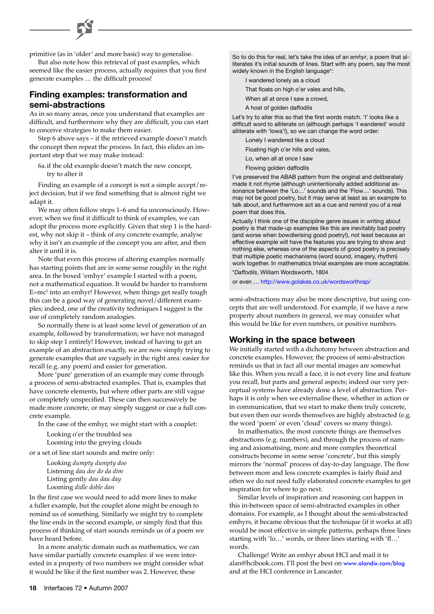primitive (as in 'older' and more basic) way to generalise.

But also note how this retrieval of past examples, which seemed like the easier process, actually requires that you first generate examples … the difficult process!

# **Finding examples: transformation and semi-abstractions**

As in so many areas, once you understand that examples are difficult, and furthermore why they are difficult, you can start to conceive strategies to make them easier.

Step 6 above says – if the retrieved example doesn't match the concept then repeat the process. In fact, this elides an important step that we may make instead:

6a.if the old example doesn't match the new concept, try to alter it

Finding an example of a concept is not a simple accept/reject decision, but if we find something that is almost right we adapt it.

We may often follow steps 1–6 and 6a unconsciously. However, when we find it difficult to think of examples, we can adopt the process more explicitly. Given that step 1 is the hardest, why not skip it – think of *any* concrete example, analyse why it isn't an example of the concept you are after, and then alter it until it is.

Note that even this process of altering examples normally has starting points that are in some sense roughly in the right area. In the boxed 'emhyr' example I started with a poem, not a mathematical equation. It would be harder to transform E=mc2 into an emhyr! However, when things get really tough this can be a good way of generating novel/different examples; indeed, one of the creativity techniques I suggest is the use of completely random analogies.

So normally there is at least some level of generation of an example, followed by transformation; we have not managed to skip step 1 entirely! However, instead of having to get an example of an abstraction exactly, we are now simply trying to generate examples that are vaguely in the right area: easier for recall (e.g. any poem) and easier for generation.

More 'pure' generation of an example may come through a process of semi-abstracted examples. That is, examples that have concrete elements, but where other parts are still vague or completely unspecified. These can then successively be made more concrete, or may simply suggest or cue a full concrete example.

In the case of the emhyr, we might start with a couplet:

Looking o'er the troubled sea Looming into the greying clouds

or a set of line start sounds and metre only:

Looking *dumpty dumpty doo* Listening *dau dee do da dim* Listing gently *dau dau day* Looming *didle doble dan*

In the first case we would need to add more lines to make a fuller example, but the couplet alone might be enough to remind us of something. Similarly we might try to complete the line ends in the second example, or simply find that this process of thinking of start sounds reminds us of a poem we have heard before.

In a more analytic domain such as mathematics, we can have similar partially concrete examples: if we were interested in a property of two numbers we might consider what it would be like if the first number was 2. However, these

So to do this for real, let's take the idea of an *emhyr*, a poem that alliterates it's initial sounds of lines. Start with any poem, say the most widely known in the English language\*:

I wandered lonely as a cloud

That floats on high o'er vales and hills,

When all at once I saw a crowd.

A host of golden daffodils

Let's try to alter this so that the first words match. 'I' looks like a difficult word to alliterate on (although perhaps 'I wandered' would alliterate with 'Iowa'!), so we can change the word order:

Lonely I wandered like a cloud

Floating high o'er hills and vales,

Lo, when all at once I saw

Flowing golden daffodils

I've preserved the ABAB pattern from the original and deliberately made it not rhyme (although unintentionally added additional assonance between the 'Lo…' sounds and the 'Flow…' sounds). This may not be good poetry, but it may serve at least as an example to talk about, and furthermore act as a cue and remind you of a real poem that does this.

Actually I think one of the discipline genre issues in writing about poetry is that made-up examples like this are inevitably bad poetry (and worse when bowdlerising good poetry!), not least because an effective example will have the features you are trying to show and nothing else, whereas one of the aspects of good poetry is precisely that multiple poetic mechanisms (word sound, imagery, rhythm) work together. In mathematics trivial examples are more acceptable. \**Daffodils*, William Wordsworth, 1804

or even …<http://www.golakes.co.uk/wordsworthrap/>

semi-abstractions may also be more descriptive, but using concepts that are well understood. For example, if we have a new property about numbers in general, we may consider what this would be like for even numbers, or positive numbers.

### **Working in the space between**

We initially started with a dichotomy between abstraction and concrete examples. However, the process of semi-abstraction reminds us that in fact all our mental images are somewhat like this. When you recall a face, it is not every line and feature you recall, but parts and general aspects; indeed our very perceptual systems have already done a level of abstraction. Perhaps it is only when we externalise these, whether in action or in communication, that we start to make them truly concrete, but even then our words themselves are highly abstracted (e.g. the word 'poem' or even 'cloud' covers so many things).

In mathematics, the most concrete things are themselves abstractions (e.g. numbers), and through the process of naming and axiomatising, more and more complex theoretical constructs become in some sense 'concrete', but this simply mirrors the 'normal' process of day-to-day language. The flow between more and less concrete examples is fairly fluid and often we do not need fully elaborated concrete examples to get inspiration for where to go next.

Similar levels of inspiration and reasoning can happen in this in-between space of semi-abstracted examples in other domains. For example, as I thought about the semi-abstracted emhyrs, it became obvious that the technique (if it works at all) would be most effective in simple patterns, perhaps three lines starting with 'lo…' words, or three lines starting with 'fl…' words.

Challenge! Write an emhyr about HCI and mail it to alan@hcibook.com. I'll post the best on [www.alandix.com/blog](http://www.alandix.com/blog/) and at the HCI conference in Lancaster.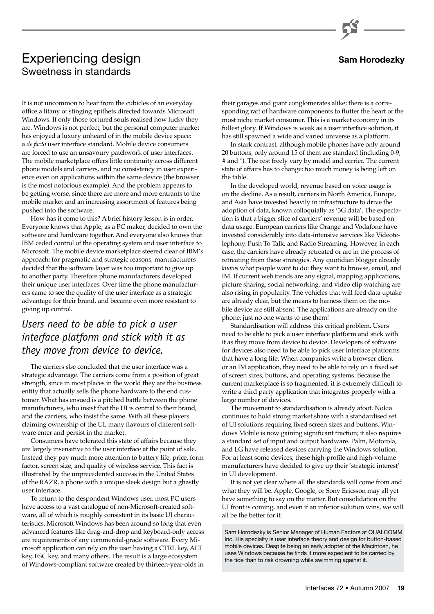# **Sam Horodezky**

# Experiencing design Sweetness in standards

It is not uncommon to hear from the cubicles of an everyday office a litany of stinging epithets directed towards Microsoft Windows. If only those tortured souls realised how lucky they are. Windows is not perfect, but the personal computer market has enjoyed a luxury unheard of in the mobile device space: a *de facto* user interface standard. Mobile device consumers are forced to use an unsavoury patchwork of user interfaces. The mobile marketplace offers little continuity across different phone models and carriers, and no consistency in user experience even on applications within the same device (the browser is the most notorious example). And the problem appears to be getting worse, since there are more and more entrants to the mobile market and an increasing assortment of features being pushed into the software.

How has it come to this? A brief history lesson is in order. Everyone knows that Apple, as a PC maker, decided to own the software and hardware together. And everyone also knows that IBM ceded control of the operating system and user interface to Microsoft. The mobile device marketplace steered clear of IBM's approach: for pragmatic and strategic reasons, manufacturers decided that the software layer was too important to give up to another party. Therefore phone manufacturers developed their unique user interfaces. Over time the phone manufacturers came to see the quality of the user interface as a strategic advantage for their brand, and became even more resistant to giving up control.

# *Users need to be able to pick a user interface platform and stick with it as they move from device to device.*

The carriers *also* concluded that the user interface was a strategic advantage. The carriers come from a position of great strength, since in most places in the world they are the business entity that actually sells the phone hardware to the end customer. What has ensued is a pitched battle between the phone manufacturers, who insist that the UI is central to their brand, and the carriers, who insist the same. With all these players claiming ownership of the UI, many flavours of different software enter and persist in the market.

Consumers have tolerated this state of affairs because they are largely insensitive to the user interface at the point of sale. Instead they pay much more attention to battery life, price, form factor, screen size, and quality of wireless service. This fact is illustrated by the unprecedented success in the United States of the RAZR, a phone with a unique sleek design but a ghastly user interface.

To return to the despondent Windows user, most PC users have access to a vast catalogue of non-Microsoft-created software, all of which is roughly consistent in its basic UI characteristics. Microsoft Windows has been around so long that even advanced features like drag-and-drop and keyboard-only access are requirements of any commercial-grade software. Every Microsoft application can rely on the user having a CTRL key, ALT key, ESC key, and many others. The result is a large ecosystem of Windows-compliant software created by thirteen-year-olds in

their garages and giant conglomerates alike; there is a corresponding raft of hardware components to flutter the heart of the most niche market consumer. This is a market economy in its fullest glory. If Windows is weak as a user interface solution, it has still spawned a wide and varied universe as a platform.

In stark contrast, although mobile phones have only around 20 buttons, only around 15 of them are standard (including 0-9, # and \*). The rest freely vary by model and carrier. The current state of affairs has to change: too much money is being left on the table.

In the developed world, revenue based on voice usage is on the decline. As a result, carriers in North America, Europe, and Asia have invested heavily in infrastructure to drive the adoption of data, known colloquially as '3G data'. The expectation is that a bigger slice of carriers' revenue will be based on data usage. European carriers like Orange and Vodafone have invested considerably into data-intensive services like Videotelephony, Push To Talk, and Radio Streaming. However, in each case, the carriers have already retreated or are in the process of retreating from these strategies. Any quotidian blogger already *knows* what people want to do: they want to browse, email, and IM. If current web trends are any signal, mapping applications, picture sharing, social networking, and video clip watching are also rising in popularity. The vehicles that will feed data uptake are already clear, but the means to harness them on the mobile device are still absent. The applications are already on the phone: just no one wants to use them!

Standardisation will address this critical problem. Users need to be able to pick a user interface platform and stick with it as they move from device to device. Developers of software for devices also need to be able to pick user interface platforms that have a long life. When companies write a browser client or an IM application, they need to be able to rely on a fixed set of screen sizes, buttons, and operating systems. Because the current marketplace is so fragmented, it is extremely difficult to write a third party application that integrates properly with a large number of devices.

The movement to standardisation is already afoot. Nokia continues to hold strong market share with a standardised set of UI solutions requiring fixed screen sizes and buttons. Windows Mobile is now gaining significant traction; it also requires a standard set of input and output hardware. Palm, Motorola, and LG have released devices carrying the Windows solution. For at least some devices, these high-profile and high-volume manufacturers have decided to give up their 'strategic interest' in UI development.

It is not yet clear where all the standards will come from and what they will be. Apple, Google, or Sony Ericsson may all yet have something to say on the matter. But consolidation on the UI front is coming, and even if an inferior solution wins, we will all be the better for it.

Sam Horodezky is Senior Manager of Human Factors at QUALCOMM Inc. His specialty is user interface theory and design for button-based mobile devices. Despite being an early adopter of the Macintosh, he uses Windows because he finds it more expedient to be carried by the tide than to risk drowning while swimming against it.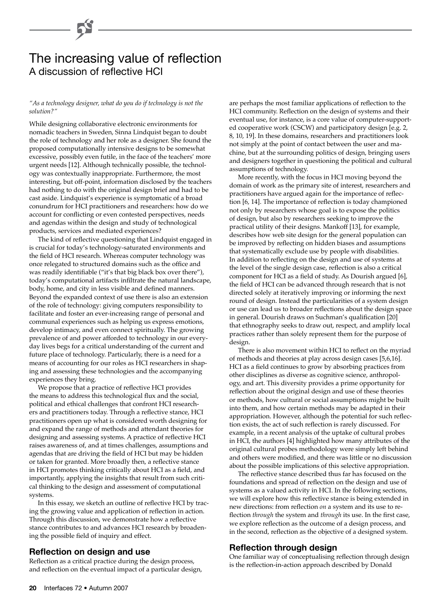# The increasing value of reflection A discussion of reflective HCI

#### *"As a technology designer, what do you do if technology is not the solution?"*

While designing collaborative electronic environments for nomadic teachers in Sweden, Sinna Lindquist began to doubt the role of technology and her role as a designer. She found the proposed computationally intensive designs to be somewhat excessive, possibly even futile, in the face of the teachers' more urgent needs [12]. Although technically possible, the technology was contextually inappropriate. Furthermore, the most interesting, but off-point, information disclosed by the teachers had nothing to do with the original design brief and had to be cast aside. Lindquist's experience is symptomatic of a broad conundrum for HCI practitioners and researchers: how do we account for conflicting or even contested perspectives, needs and agendas within the design and study of technological products, services and mediated experiences?

The kind of reflective questioning that Lindquist engaged in is crucial for today's technology-saturated environments and the field of HCI research. Whereas computer technology was once relegated to structured domains such as the office and was readily identifiable ("it's that big black box over there"), today's computational artifacts infiltrate the natural landscape, body, home, and city in less visible and defined manners. Beyond the expanded context of use there is also an extension of the role of technology: giving computers responsibility to facilitate and foster an ever-increasing range of personal and communal experiences such as helping us express emotions, develop intimacy, and even connect spiritually. The growing prevalence of and power afforded to technology in our everyday lives begs for a critical understanding of the current and future place of technology. Particularly, there is a need for a means of accounting for our roles as HCI researchers in shaping and assessing these technologies and the accompanying experiences they bring.

We propose that a practice of reflective HCI provides the means to address this technological flux and the social, political and ethical challenges that confront HCI researchers and practitioners today. Through a reflective stance, HCI practitioners open up what is considered worth designing for and expand the range of methods and attendant theories for designing and assessing systems. A practice of reflective HCI raises awareness of, and at times challenges, assumptions and agendas that are driving the field of HCI but may be hidden or taken for granted. More broadly then, a reflective stance in HCI promotes thinking critically about HCI as a field, and importantly, applying the insights that result from such critical thinking to the design and assessment of computational systems.

In this essay, we sketch an outline of reflective HCI by tracing the growing value and application of reflection in action. Through this discussion, we demonstrate how a reflective stance contributes to and advances HCI research by broadening the possible field of inquiry and effect.

### **Reflection on design and use**

Reflection as a critical practice during the design process, and reflection on the eventual impact of a particular design, are perhaps the most familiar applications of reflection to the HCI community. Reflection on the design of systems and their eventual use, for instance, is a core value of computer-supported cooperative work (CSCW) and participatory design [e.g. 2, 8, 10, 19]. In these domains, researchers and practitioners look not simply at the point of contact between the user and machine, but at the surrounding politics of design, bringing users and designers together in questioning the political and cultural assumptions of technology.

More recently, with the focus in HCI moving beyond the domain of work as the primary site of interest, researchers and practitioners have argued again for the importance of reflection [6, 14]. The importance of reflection is today championed not only by researchers whose goal is to expose the politics of design, but also by researchers seeking to improve the practical utility of their designs. Mankoff [13], for example, describes how web site design for the general population can be improved by reflecting on hidden biases and assumptions that systematically exclude use by people with disabilities. In addition to reflecting on the design and use of systems at the level of the single design case, reflection is also a critical component for HCI as a field of study. As Dourish argued [6], the field of HCI can be advanced through research that is not directed solely at iteratively improving or informing the next round of design. Instead the particularities of a system design or use can lead us to broader reflections about the design space in general. Dourish draws on Suchman's qualification [20] that ethnography seeks to draw out, respect, and amplify local practices rather than solely represent them for the purpose of design.

There is also movement within HCI to reflect on the myriad of methods and theories at play across design cases [5,6,16]. HCI as a field continues to grow by absorbing practices from other disciplines as diverse as cognitive science, anthropology, and art. This diversity provides a prime opportunity for reflection about the original design and use of these theories or methods, how cultural or social assumptions might be built into them, and how certain methods may be adapted in their appropriation. However, although the potential for such reflection exists, the act of such reflection is rarely discussed. For example, in a recent analysis of the uptake of cultural probes in HCI, the authors [4] highlighted how many attributes of the original cultural probes methodology were simply left behind and others were modified, and there was little or no discussion about the possible implications of this selective appropriation.

The reflective stance described thus far has focused on the foundations and spread of reflection on the design and use of systems as a valued activity in HCI. In the following sections, we will explore how this reflective stance is being extended in new directions: from reflection *on* a system and its use to reflection *through* the system and *through* its use. In the first case, we explore reflection as the outcome of a design process, and in the second, reflection as the objective of a designed system.

### **Reflection through design**

One familiar way of conceptualising reflection through design is the reflection-in-action approach described by Donald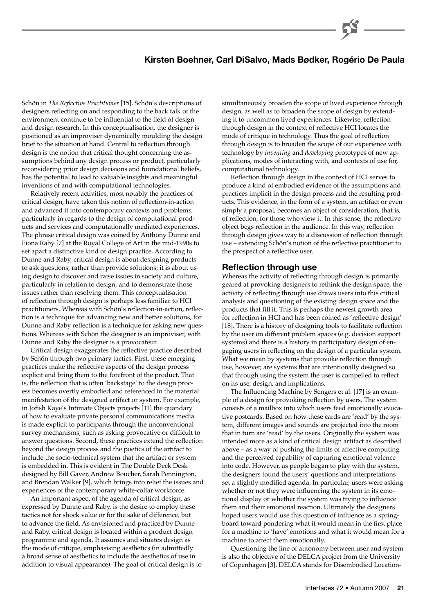# **Kirsten Boehner, Carl DiSalvo, Mads Bødker, Rogério De Paula**

Schön in *The Reflective Practitioner* [15]. Schön's descriptions of designers reflecting on and responding to the back talk of the environment continue to be influential to the field of design and design research. In this conceptualisation, the designer is positioned as an improviser dynamically moulding the design brief to the situation at hand. Central to reflection through design is the notion that critical thought concerning the assumptions behind any design process or product, particularly reconsidering prior design decisions and foundational beliefs, has the potential to lead to valuable insights and meaningful inventions of and with computational technologies.

Relatively recent activities, most notably the practices of critical design, have taken this notion of reflection-in-action and advanced it into contemporary contexts and problems, particularly in regards to the design of computational products and services and computationally mediated experiences. The phrase critical design was coined by Anthony Dunne and Fiona Raby [7] at the Royal College of Art in the mid-1990s to set apart a distinctive kind of design practice. According to Dunne and Raby, critical design is about designing products to ask questions, rather than provide solutions; it is about using design to discover and raise issues in society and culture, particularly in relation to design, and to demonstrate those issues rather than resolving them. This conceptualisation of reflection through design is perhaps less familiar to HCI practitioners. Whereas with Schön's reflection-in-action, reflection is a technique for advancing new and better solutions, for Dunne and Raby reflection is a technique for asking new questions. Whereas with Schön the designer is an improviser, with Dunne and Raby the designer is a provocateur.

Critical design exaggerates the reflective practice described by Schön through two primary tactics. First, these emerging practices make the reflective aspects of the design process explicit and bring them to the forefront of the product. That is, the reflection that is often 'backstage' to the design process becomes overtly embodied and referenced in the material manifestation of the designed artifact or system. For example, in Jofish Kaye's Intimate Objects projects [11] the quandary of how to evaluate private personal communications media is made explicit to participants through the unconventional survey mechanisms, such as asking provocative or difficult to answer questions. Second, these practices extend the reflection beyond the design process and the poetics of the artifact to include the socio-technical system that the artifact or system is embedded in. This is evident in The Double Deck Desk designed by Bill Gaver, Andrew Boucher, Sarah Pennington, and Brendan Walker [9], which brings into relief the issues and experiences of the contemporary white-collar workforce.

An important aspect of the agenda of critical design, as expressed by Dunne and Raby, is the desire to employ these tactics not for shock value or for the sake of difference, but to advance the field. As envisioned and practiced by Dunne and Raby, critical design is located within a product design programme and agenda. It assumes and situates design as the mode of critique, emphasising aesthetics (in admittedly a broad sense of aesthetics to include the aesthetics of use in addition to visual appearance). The goal of critical design is to simultaneously broaden the scope of lived experience through design, as well as to broaden the scope of design by extending it to uncommon lived experiences. Likewise, reflection through design in the context of reflective HCI locates the mode of critique in technology. Thus the goal of reflection through design is to broaden the scope of our experience with technology by *inventing* and *developing* prototypes of new applications, modes of interacting with, and contexts of use for, computational technology.

Reflection through design in the context of HCI serves to produce a kind of embodied evidence of the assumptions and practices implicit in the design process and the resulting products. This evidence, in the form of a system, an artifact or even simply a proposal, becomes an object of consideration, that is, of reflection, for those who view it. In this sense, the reflective object begs reflection in the audience. In this way, reflection through design gives way to a discussion of reflection through use – extending Schön's notion of the reflective practitioner to the prospect of a reflective user.

#### **Reflection through use**

Whereas the activity of reflecting through design is primarily geared at provoking designers to rethink the design space, the activity of reflecting through use draws users into this critical analysis and questioning of the existing design space and the products that fill it. This is perhaps the newest growth area for reflection in HCI and has been coined as 'reflective design' [18]. There is a history of designing tools to facilitate reflection by the user on different problem spaces (e.g. decision support systems) and there is a history in participatory design of engaging users in reflecting on the design of a particular system. What we mean by systems that provoke reflection through use, however, are systems that are intentionally designed so that through using the system the user is compelled to reflect on its use, design, and implications.

The Influencing Machine by Sengers et al. [17] is an example of a design for provoking reflection by users. The system consists of a mailbox into which users feed emotionally evocative postcards. Based on how these cards are 'read' by the system, different images and sounds are projected into the room that in turn are 'read' by the users. Originally the system was intended more as a kind of critical design artifact as described above – as a way of pushing the limits of affective computing and the perceived capability of capturing emotional valence into code. However, as people began to play with the system, the designers found the users' questions and interpretations set a slightly modified agenda. In particular, users were asking whether or not they were influencing the system in its emotional display or whether the system was trying to influence them and their emotional reaction. Ultimately the designers hoped users would use this question of influence as a springboard toward pondering what it would mean in the first place for a machine to 'have' emotions and what it would mean for a machine to affect them emotionally.

Questioning the line of autonomy between user and system is also the objective of the DELCA project from the University of Copenhagen [3]. DELCA stands for Disembodied Location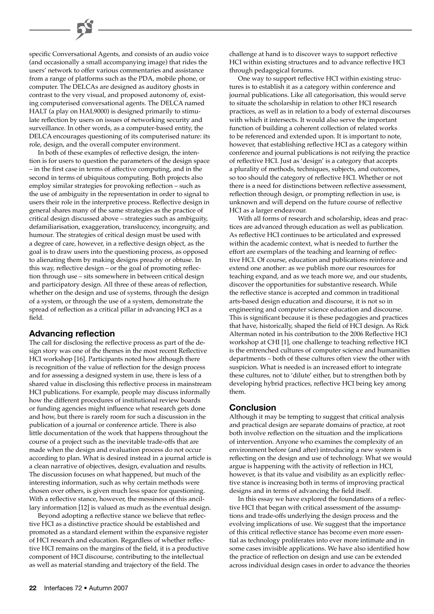specific Conversational Agents, and consists of an audio voice (and occasionally a small accompanying image) that rides the users' network to offer various commentaries and assistance from a range of platforms such as the PDA, mobile phone, or computer. The DELCAs are designed as auditory ghosts in contrast to the very visual, and proposed autonomy of, existing computerised conversational agents. The DELCA named HALT (a play on HAL9000) is designed primarily to stimulate reflection by users on issues of networking security and surveillance. In other words, as a computer-based entity, the DELCA encourages questioning of its computerised nature: its role, design, and the overall computer environment.

In both of these examples of reflective design, the intention is for users to question the parameters of the design space – in the first case in terms of affective computing, and in the second in terms of ubiquitous computing. Both projects also employ similar strategies for provoking reflection – such as the use of ambiguity in the representation in order to signal to users their role in the interpretive process. Reflective design in general shares many of the same strategies as the practice of critical design discussed above – strategies such as ambiguity, defamiliarisation, exaggeration, translucency, incongruity, and humour. The strategies of critical design must be used with a degree of care, however, in a reflective design object, as the goal is to draw users into the questioning process, as opposed to alienating them by making designs preachy or obtuse. In this way, reflective design – or the goal of promoting reflection through use – sits somewhere in between critical design and participatory design. All three of these areas of reflection, whether on the design and use of systems, through the design of a system, or through the use of a system, demonstrate the spread of reflection as a critical pillar in advancing HCI as a field.

### **Advancing reflection**

The call for disclosing the reflective process as part of the design story was one of the themes in the most recent Reflective HCI workshop [16]. Participants noted how although there is recognition of the value of reflection for the design process and for assessing a designed system in use, there is less of a shared value in disclosing this reflective process in mainstream HCI publications. For example, people may discuss informally how the different procedures of institutional review boards or funding agencies might influence what research gets done and how, but there is rarely room for such a discussion in the publication of a journal or conference article. There is also little documentation of the work that happens throughout the course of a project such as the inevitable trade-offs that are made when the design and evaluation process do not occur according to plan. What is desired instead in a journal article is a clean narrative of objectives, design, evaluation and results. The discussion focuses on what happened, but much of the interesting information, such as why certain methods were chosen over others, is given much less space for questioning. With a reflective stance, however, the messiness of this ancillary information [12] is valued as much as the eventual design.

Beyond adopting a reflective stance we believe that reflective HCI as a distinctive practice should be established and promoted as a standard element within the expansive register of HCI research and education. Regardless of whether reflective HCI remains on the margins of the field, it is a productive component of HCI discourse, contributing to the intellectual as well as material standing and trajectory of the field. The

challenge at hand is to discover ways to support reflective HCI within existing structures and to advance reflective HCI through pedagogical forums.

One way to support reflective HCI within existing structures is to establish it as a category within conference and journal publications. Like all categorisation, this would serve to situate the scholarship in relation to other HCI research practices, as well as in relation to a body of external discourses with which it intersects. It would also serve the important function of building a coherent collection of related works to be referenced and extended upon. It is important to note, however, that establishing reflective HCI as a category within conference and journal publications is not reifying the practice of reflective HCI. Just as 'design' is a category that accepts a plurality of methods, techniques, subjects, and outcomes, so too should the category of reflective HCI. Whether or not there is a need for distinctions between reflective assessment, reflection through design, or prompting reflection in use, is unknown and will depend on the future course of reflective HCI as a larger endeavour.

With all forms of research and scholarship, ideas and practices are advanced through education as well as publication. As reflective HCI continues to be articulated and expressed within the academic context, what is needed to further the effort are exemplars of the teaching and learning of reflective HCI. Of course, education and publications reinforce and extend one another: as we publish more our resources for teaching expand, and as we teach more we, and our students, discover the opportunities for substantive research. While the reflective stance is accepted and common in traditional arts-based design education and discourse, it is not so in engineering and computer science education and discourse. This is significant because it is these pedagogies and practices that have, historically, shaped the field of HCI design. As Rick Alterman noted in his contribution to the 2006 Reflective HCI workshop at CHI [1], one challenge to teaching reflective HCI is the entrenched cultures of computer science and humanities departments – both of these cultures often view the other with suspicion. What is needed is an increased effort to integrate these cultures, not to 'dilute' either, but to strengthen both by developing hybrid practices, reflective HCI being key among them.

### **Conclusion**

Although it may be tempting to suggest that critical analysis and practical design are separate domains of practice, at root both involve reflection on the situation and the implications of intervention. Anyone who examines the complexity of an environment before (and after) introducing a new system is reflecting on the design and use of technology. What we would argue is happening with the activity of reflection in HCI, however, is that its value and visibility as an explicitly reflective stance is increasing both in terms of improving practical designs and in terms of advancing the field itself.

In this essay we have explored the foundations of a reflective HCI that began with critical assessment of the assumptions and trade-offs underlying the design process and the evolving implications of use. We suggest that the importance of this critical reflective stance has become even more essential as technology proliferates into ever more intimate and in some cases invisible applications. We have also identified how the practice of reflection on design and use can be extended across individual design cases in order to advance the theories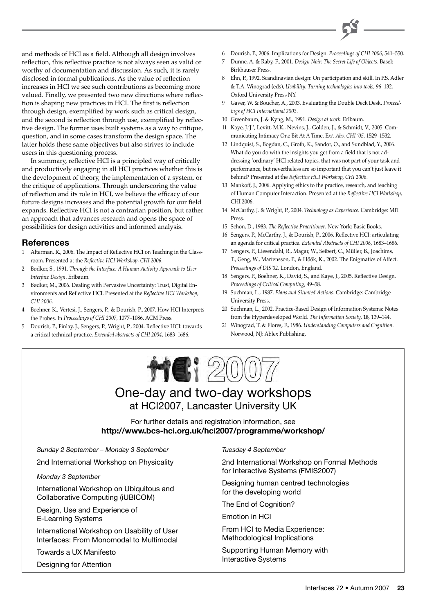

and methods of HCI as a field. Although all design involves reflection, this reflective practice is not always seen as valid or worthy of documentation and discussion. As such, it is rarely disclosed in formal publications. As the value of reflection increases in HCI we see such contributions as becoming more valued. Finally, we presented two new directions where reflection is shaping new practices in HCI. The first is reflection through design, exemplified by work such as critical design, and the second is reflection through use, exemplified by reflective design. The former uses built systems as a way to critique, question, and in some cases transform the design space. The latter holds these same objectives but also strives to include users in this questioning process.

In summary, reflective HCI is a principled way of critically and productively engaging in all HCI practices whether this is the development of theory, the implementation of a system, or the critique of applications. Through underscoring the value of reflection and its role in HCI, we believe the efficacy of our future designs increases and the potential growth for our field expands. Reflective HCI is not a contrarian position, but rather an approach that advances research and opens the space of possibilities for design activities and informed analysis.

### **References**

- 1 Alterman, R., 2006. The Impact of Reflective HCI on Teaching in the Classroom. Presented at the *Reflective HCI Workshop, CHI 2006*.
- 2 Bødker, S., 1991. *Through the Interface: A Human Activity Approach to User Interface Design*. Erlbaum.
- 3 Bødker, M., 2006. Dealing with Pervasive Uncertainty: Trust, Digital Environments and Reflective HCI. Presented at the *Reflective HCI Workshop, CHI 2006*.
- 4 Boehner, K., Vertesi, J., Sengers, P., & Dourish, P., 2007. How HCI Interprets the Probes. In *Proceedings of CHI 2007,* 1077–1086. ACM Press.
- 5 Dourish, P., Finlay, J., Sengers, P., Wright, P., 2004. Reflective HCI: towards a critical technical practice. *Extended abstracts of CHI 2004*, 1683–1686.
- 6 Dourish, P., 2006. Implications for Design. *Proceedings of CHI 2006*, 541–550.
- 7 Dunne, A. & Raby, F., 2001. *Design Noir: The Secret Life of Objects*. Basel: Birkhauser Press.
- 8 Ehn, P., 1992. Scandinavian design: On participation and skill. In P.S. Adler & T.A. Winograd (eds), *Usability: Turning technologies into tools*, 96–132. Oxford University Press NY.
- 9 Gaver, W. & Boucher, A., 2003. Evaluating the Double Deck Desk. *Proceedings of HCI International 2003*.
- 10 Greenbaum, J. & Kyng, M., 1991. *Design at work*. Erlbaum.
- 11 Kaye, J.'J.', Levitt, M.K., Nevins, J., Golden, J., & Schmidt, V., 2005. Communicating Intimacy One Bit At A Time. E*xt. Abs. CHI '05*, 1529–1532.
- 12 Lindquist, S., Bogdan, C., Groth, K., Sandor, O., and Sundblad, Y., 2006. What do you do with the insights you get from a field that is not addressing 'ordinary' HCI related topics, that was not part of your task and performance, but nevertheless are so important that you can't just leave it behind? Presented at the *Reflective HCI Workshop, CHI 2006*.
- 13 Mankoff, J., 2006. Applying ethics to the practice, research, and teaching of Human Computer Interaction. Presented at the *Reflective HCI Workshop*, CHI 2006.
- 14 McCarthy, J. & Wright, P., 2004. *Technology as Experience*. Cambridge: MIT Press.
- 15 Schön, D., 1983. *The Reflective Practitioner*. New York: Basic Books.
- 16 Sengers, P., McCarthy, J., & Dourish, P., 2006. Reflective HCI: articulating an agenda for critical practice. *Extended Abstracts of CHI 2006*, 1683–1686.
- 17 Sengers, P., Liesendahl, R., Magar, W., Seibert, C., Müller, B., Joachims, T., Geng, W., Martensson, P., & Höök, K., 2002. The Enigmatics of Affect. P*roceedings of DIS'02*. London, England.
- 18 Sengers, P., Boehner, K., David, S., and Kaye, J., 2005. Reflective Design. *Proceedings of Critical Computing*, 49–58.
- 19 Suchman, L., 1987. *Plans and Situated Actions*. Cambridge: Cambridge University Press.
- 20 Suchman, L., 2002. Practice-Based Design of Information Systems: Notes from the Hyperdeveloped World. *The Information Society*, **18**, 139–144.
- 21 Winograd, T. & Flores, F., 1986. *Understanding Computers and Cognition*. Norwood, NJ: Ablex Publishing.



# One-day and two-day workshops at HCI2007, Lancaster University UK

For further details and registration information, see **http://www.bcs-hci.org.uk/hci2007/programme/workshop/**

*Sunday 2 September – Monday 3 September*

2nd International Workshop on Physicality

*Monday 3 September*

International Workshop on Ubiquitous and Collaborative Computing (iUBICOM)

Design, Use and Experience of E-Learning Systems

International Workshop on Usability of User Interfaces: From Monomodal to Multimodal

Towards a UX Manifesto

Designing for Attention

*Tuesday 4 September*

2nd International Workshop on Formal Methods for Interactive Systems (FMIS2007)

Designing human centred technologies for the developing world

The End of Cognition?

Emotion in HCI

From HCI to Media Experience: Methodological Implications

Supporting Human Memory with Interactive Systems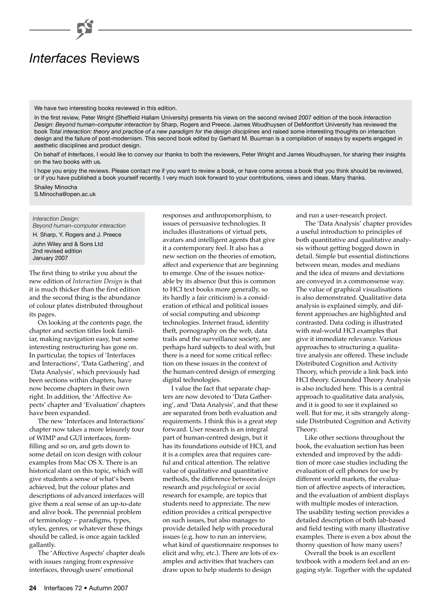# *Interfaces* Reviews

We have two interesting books reviewed in this edition.

In the first review, Peter Wright (Sheffield Hallam University) presents his views on the second revised 2007 edition of the book *Interaction Design: Beyond human–computer interaction* by Sharp, Rogers and Preece. James Woudhuysen of DeMontfort University has reviewed the book *Total interaction: theory and practice of a new paradigm for the design disciplines* and raised some interesting thoughts on interaction design and the failure of post-modernism. This second book edited by Gerhard M. Buurman is a compilation of essays by experts engaged in aesthetic disciplines and product design.

On behalf of *Interfaces*, I would like to convey our thanks to both the reviewers, Peter Wright and James Woudhuysen, for sharing their insights on the two books with us.

I hope you enjoy the reviews. Please contact me if you want to review a book, or have come across a book that you think should be reviewed, or if you have published a book yourself recently. I very much look forward to your contributions, views and ideas. Many thanks.

Shailey Minocha S.Minocha@open.ac.uk

#### *Interaction Design:*

*Beyond human–computer interaction* H. Sharp, Y. Rogers and J. Preece John Wiley and & Sons Ltd 2nd revised edition January 2007

The first thing to strike you about the new edition of *Interaction Design* is that it is much thicker than the first edition and the second thing is the abundance of colour plates distributed throughout its pages.

On looking at the contents page, the chapter and section titles look familiar, making navigation easy, but some interesting restructuring has gone on. In particular, the topics of 'Interfaces and Interactions', 'Data Gathering', and 'Data Analysis', which previously had been sections within chapters, have now become chapters in their own right. In addition, the 'Affective Aspects' chapter and 'Evaluation' chapters have been expanded.

The new 'Interfaces and Interactions' chapter now takes a more leisurely tour of WIMP and GUI interfaces, formfilling and so on, and gets down to some detail on icon design with colour examples from Mac OS X. There is an historical slant on this topic, which will give students a sense of what's been achieved, but the colour plates and descriptions of advanced interfaces will give them a real sense of an up-to-date and alive book. The perennial problem of terminology – paradigms, types, styles, genres, or whatever these things should be called, is once again tackled gallantly.

The 'Affective Aspects' chapter deals with issues ranging from expressive interfaces, through users' emotional

responses and anthropomorphism, to issues of persuasive technologies. It includes illustrations of virtual pets, avatars and intelligent agents that give it a contemporary feel. It also has a new section on the theories of emotion, affect and experience that are beginning to emerge. One of the issues noticeable by its absence (but this is common to HCI text books more generally, so its hardly a fair criticism) is a consideration of ethical and political issues of social computing and ubicomp technologies. Internet fraud, identity theft, pornography on the web, data trails and the surveillance society, are perhaps hard subjects to deal with, but there is a need for some critical reflection on these issues in the context of the human-centred design of emerging digital technologies.

I value the fact that separate chapters are now devoted to 'Data Gathering', and 'Data Analysis', and that these are separated from both evaluation and requirements. I think this is a great step forward. User research is an integral part of human-centred design, but it has its foundations outside of HCI, and it is a complex area that requires careful and critical attention. The relative value of qualitative and quantitative methods, the difference between *design* research and *psychological* or *social* research for example, are topics that students need to appreciate. The new edition provides a critical perspective on such issues, but also manages to provide detailed help with procedural issues (e.g. how to run an interview, what kind of questionnaire responses to elicit and why, etc.). There are lots of examples and activities that teachers can draw upon to help students to design

and run a user-research project.

The 'Data Analysis' chapter provides a useful introduction to principles of both quantitative and qualitative analysis without getting bogged down in detail. Simple but essential distinctions between mean, modes and medians and the idea of means and deviations are conveyed in a commonsense way. The value of graphical visualisations is also demonstrated. Qualitative data analysis is explained simply, and different approaches are highlighted and contrasted. Data coding is illustrated with real-world HCI examples that give it immediate relevance. Various approaches to structuring a qualitative analysis are offered. These include Distributed Cognition and Activity Theory, which provide a link back into HCI theory. Grounded Theory Analysis is also included here. This is a central approach to qualitative data analysis, and it is good to see it explained so well. But for me, it sits strangely alongside Distributed Cognition and Activity Theory.

Like other sections throughout the book, the evaluation section has been extended and improved by the addition of more case studies including the evaluation of cell phones for use by different world markets, the evaluation of affective aspects of interaction, and the evaluation of ambient displays with multiple modes of interaction. The usability testing section provides a detailed description of both lab-based and field testing with many illustrative examples. There is even a box about the thorny question of how many users?

Overall the book is an excellent textbook with a modern feel and an engaging style. Together with the updated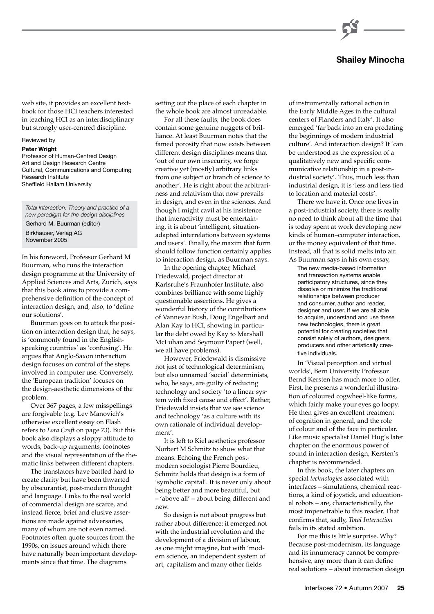

web site, it provides an excellent textbook for those HCI teachers interested in teaching HCI as an interdisciplinary but strongly user-centred discipline.

#### Reviewed by

**Peter Wright** 

Professor of Human-Centred Design Art and Design Research Centre Cultural, Communications and Computing Research Institute Sheffield Hallam University

*Total Interaction: Theory and practice of a new paradigm for the design disciplines* Gerhard M. Buurman (editor)

Birkhauser, Verlag AG

November 2005

In his foreword, Professor Gerhard M Buurman, who runs the interaction design programme at the University of Applied Sciences and Arts, Zurich, says that this book aims to provide a comprehensive definition of the concept of interaction design, and, also, to 'define our solutions'.

Buurman goes on to attack the position on interaction design that, he says, is 'commonly found in the Englishspeaking countries' as 'confusing'. He argues that Anglo-Saxon interaction design focuses on control of the steps involved in computer use. Conversely, the 'European tradition' focuses on the design-aesthetic dimensions of the problem.

Over 367 pages, a few misspellings are forgivable (e.g. Lev Manovich's otherwise excellent essay on Flash refers to *Lora Craft* on page 73). But this book also displays a sloppy attitude to words, back-up arguments, footnotes and the visual representation of the thematic links between different chapters.

The translators have battled hard to create clarity but have been thwarted by obscurantist, post-modern thought and language. Links to the real world of commercial design are scarce, and instead fierce, brief and elusive assertions are made against adversaries, many of whom are not even named. Footnotes often quote sources from the 1990s, on issues around which there have naturally been important developments since that time. The diagrams

setting out the place of each chapter in the whole book are almost unreadable.

For all these faults, the book does contain some genuine nuggets of brilliance. At least Buurman notes that the famed porosity that now exists between different design disciplines means that 'out of our own insecurity, we forge creative yet (mostly) arbitrary links from one subject or branch of science to another'. He is right about the arbitrariness and relativism that now prevails in design, and even in the sciences. And though I might cavil at his insistence that interactivity must be entertaining, it is about 'intelligent, situationadapted interrelations between systems and users'. Finally, the maxim that form should follow function certainly applies to interaction design, as Buurman says.

In the opening chapter, Michael Friedewald, project director at Karlsruhe's Fraunhofer Institute, also combines brilliance with some highly questionable assertions. He gives a wonderful history of the contributions of Vannevar Bush, Doug Engelbart and Alan Kay to HCI, showing in particular the debt owed by Kay to Marshall McLuhan and Seymour Papert (well, we all have problems).

However, Friedewald is dismissive not just of technological determinism, but also unnamed 'social' determinists, who, he says, are guilty of reducing technology and society 'to a linear system with fixed cause and effect'. Rather, Friedewald insists that we see science and technology 'as a culture with its own rationale of individual development'.

It is left to Kiel aesthetics professor Norbert M Schmitz to show what that means. Echoing the French postmodern sociologist Pierre Bourdieu, Schmitz holds that design is a form of 'symbolic capital'. It is never only about being better and more beautiful, but – 'above all' – about being different and new.

So design is not about progress but rather about difference: it emerged not with the industrial revolution and the development of a division of labour, as one might imagine, but with 'modern science, an independent system of art, capitalism and many other fields

of instrumentally rational action in the Early Middle Ages in the cultural centers of Flanders and Italy'. It also emerged 'far back into an era predating the beginnings of modern industrial culture'. And interaction design? It 'can be understood as the expression of a qualitatively new and specific communicative relationship in a post-industrial society'. Thus, much less than industrial design, it is 'less and less tied to location and material costs'.

There we have it. Once one lives in a post-industrial society, there is really no need to think about all the time that is today spent at work developing new kinds of human–computer interaction, or the money equivalent of that time. Instead, all that is solid melts into air. As Buurman says in his own essay,

The new media-based information and transaction systems enable participatory structures, since they dissolve or minimize the traditional relationships between producer and consumer, author and reader, designer and user. If we are all able to acquire, understand and use these new technologies, there is great potential for creating societies that consist solely of authors, designers, producers and other artistically creative individuals.

In 'Visual perception and virtual worlds', Bern University Professor Bernd Kersten has much more to offer. First, he presents a wonderful illustration of coloured cogwheel-like forms, which fairly make your eyes go loopy. He then gives an excellent treatment of cognition in general, and the role of colour and of the face in particular. Like music specialist Daniel Hug's later chapter on the enormous power of sound in interaction design, Kersten's chapter is recommended.

In this book, the later chapters on special *technologies* associated with interfaces – simulations, chemical reactions, a kind of joystick, and educational robots – are, characteristically, the most impenetrable to this reader. That confirms that, sadly, *Total Interaction* fails in its stated ambition.

For me this is little surprise. Why? Because post-modernism, its language and its innumeracy cannot be comprehensive, any more than it can define real solutions – about interaction design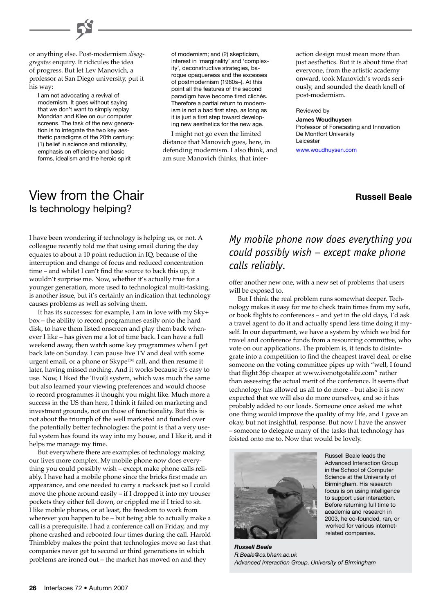

I am not advocating a revival of modernism. It goes without saying that we don't want to simply replay Mondrian and Klee on our computer screens. The task of the new generation is to integrate the two key aesthetic paradigms of the 20th century: (1) belief in science and rationality, emphasis on efficiency and basic forms, idealism and the heroic spirit

of modernism; and (2) skepticism, interest in 'marginality' and 'complexity', deconstructive strategies, baroque opaqueness and the excesses of postmodernism (1960s–). At this point all the features of the second paradigm have become tired clichés. Therefore a partial return to modernism is not a bad first step, as long as it is just a first step toward developing new aesthetics for the new age.

I might not go even the limited distance that Manovich goes, here, in defending modernism. I also think, and am sure Manovich thinks, that inter-

action design must mean more than just aesthetics. But it is about time that everyone, from the artistic academy onward, took Manovich's words seriously, and sounded the death knell of post-modernism.

#### Reviewed by

Leicester

**James Woudhuysen**  Professor of Forecasting and Innovation De Montfort University

[www.woudhuysen.com](http://www.woudhuysen.com/)

### **Russell Beale**

# View from the Chair Is technology helping?

I have been wondering if technology is helping us, or not. A colleague recently told me that using email during the day equates to about a 10 point reduction in IQ, because of the interruption and change of focus and reduced concentration time – and whilst I can't find the source to back this up, it wouldn't surprise me. Now, whether it's actually true for a younger generation, more used to technological multi-tasking, is another issue, but it's certainly an indication that technology causes problems as well as solving them.

It has its successes: for example, I am in love with my Sky+ box – the ability to record programmes easily onto the hard disk, to have them listed onscreen and play them back whenever I like – has given me a lot of time back. I can have a full weekend away, then watch some key programmes when I get back late on Sunday. I can pause live TV and deal with some urgent email, or a phone or Skype™ call, and then resume it later, having missed nothing. And it works because it's easy to use. Now, I liked the Tivo® system, which was much the same but also learned your viewing preferences and would choose to record programmes it thought you might like. Much more a success in the US than here, I think it failed on marketing and investment grounds, not on those of functionality. But this is not about the triumph of the well marketed and funded over the potentially better technologies: the point is that a very useful system has found its way into my house, and I like it, and it helps me manage my time.

But everywhere there are examples of technology making our lives more complex. My mobile phone now does everything you could possibly wish – except make phone calls reliably. I have had a mobile phone since the bricks first made an appearance, and one needed to carry a rucksack just so I could move the phone around easily – if I dropped it into my trouser pockets they either fell down, or crippled me if I tried to sit. I like mobile phones, or at least, the freedom to work from wherever you happen to be – but being able to actually make a call is a prerequisite. I had a conference call on Friday, and my phone crashed and rebooted four times during the call. Harold Thimbleby makes the point that technologies move so fast that companies never get to second or third generations in which problems are ironed out – the market has moved on and they

# *My mobile phone now does everything you could possibly wish – except make phone calls reliably.*

offer another new one, with a new set of problems that users will be exposed to.

But I think the real problem runs somewhat deeper. Technology makes it easy for me to check train times from my sofa, or book flights to conferences – and yet in the old days, I'd ask a travel agent to do it and actually spend less time doing it myself. In our department, we have a system by which we bid for travel and conference funds from a resourcing committee, who vote on our applications. The problem is, it tends to disintegrate into a competition to find the cheapest travel deal, or else someone on the voting committee pipes up with "well, I found that flight 36p cheaper at www.ivenotgotalife.com" rather than assessing the actual merit of the conference. It seems that technology has allowed us all to do more – but also it is now expected that we will also do more ourselves, and so it has probably added to our loads. Someone once asked me what one thing would improve the quality of my life, and I gave an okay, but not insightful, response. But now I have the answer – someone to delegate many of the tasks that technology has foisted onto me to. Now that would be lovely.



Russell Beale leads the Advanced Interaction Group in the School of Computer Science at the University of Birmingham. His research focus is on using intelligence to support user interaction. Before returning full time to academia and research in 2003, he co-founded, ran, or worked for various internetrelated companies.

*Russell Beale R.Beale@cs.bham.ac.uk Advanced Interaction Group, University of Birmingham*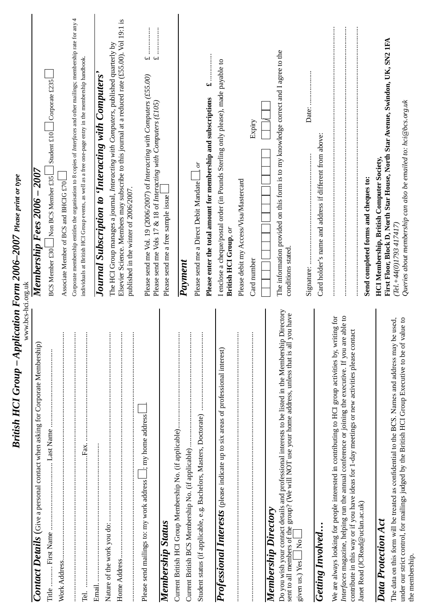| <b>British HCI Group - Application Form 2006-2007 Please print or type</b><br>www.bcs-hci.org.uk                                                                                                                                                                                                                 |                                                                                                                                                                                                                                    |
|------------------------------------------------------------------------------------------------------------------------------------------------------------------------------------------------------------------------------------------------------------------------------------------------------------------|------------------------------------------------------------------------------------------------------------------------------------------------------------------------------------------------------------------------------------|
| Contact Details (Give a personal contact when asking for Corporate Membership)                                                                                                                                                                                                                                   | 2007<br>Membership Fees 2006 -                                                                                                                                                                                                     |
|                                                                                                                                                                                                                                                                                                                  | Corporate £235<br>$\vert$ Student £10<br>Non BCS Member £35<br>BCS Member £30                                                                                                                                                      |
| $\vdots$<br>Work Address                                                                                                                                                                                                                                                                                         | Associate Member of BCS and BHCIG £70                                                                                                                                                                                              |
| $\vdots$<br>$\vdots$<br>Гах.<br>Tel.                                                                                                                                                                                                                                                                             | 4<br>Corporate membership entitles the organisation to 8 copies of Interfaces and other mailings; membership rate for any<br>individuals at British HCI Group events, as well as a free one-page entry in the membership handbook. |
|                                                                                                                                                                                                                                                                                                                  | Journal Subscription to 'Interacting with Computers'                                                                                                                                                                               |
| $\vdots$                                                                                                                                                                                                                                                                                                         | The HCI Group manages a journal, Interacting with Computers, published quarterly by                                                                                                                                                |
| :                                                                                                                                                                                                                                                                                                                | Elsevier Science. Members may subscribe to this journal at a reduced rate (£55.00). Vol 19:1 is<br>published in the winter of 2006/2007.                                                                                           |
| ; my home address<br>Please send mailings to: my work address                                                                                                                                                                                                                                                    | Please send me Vol. 19 (2006/2007) of Interacting with Computers (£55.00)<br>Please send me Vols 17 & 18 of Interacting with Computers (£105)                                                                                      |
| Membership Status                                                                                                                                                                                                                                                                                                | Please send me a free sample issue                                                                                                                                                                                                 |
| ÷                                                                                                                                                                                                                                                                                                                |                                                                                                                                                                                                                                    |
| :                                                                                                                                                                                                                                                                                                                | <b>Payment</b>                                                                                                                                                                                                                     |
|                                                                                                                                                                                                                                                                                                                  | ioʻ<br>Please send me a Direct Debit Mandate                                                                                                                                                                                       |
|                                                                                                                                                                                                                                                                                                                  | 48<br>Please enter the total amount for membership and subscriptions                                                                                                                                                               |
| Professional Interests (please indicate up to six areas of professional interest)                                                                                                                                                                                                                                | I enclose a cheque/postal order (in Pounds Sterling only please), made payable to<br>British HCI Group, or                                                                                                                         |
| $\colon$                                                                                                                                                                                                                                                                                                         | Please debit my Access/Visa/Mastercard                                                                                                                                                                                             |
|                                                                                                                                                                                                                                                                                                                  | Expiry<br>Card number                                                                                                                                                                                                              |
| <b>Membership Directory</b>                                                                                                                                                                                                                                                                                      |                                                                                                                                                                                                                                    |
| Do you wish your contact details and professional interests to be listed in the Membership Directory<br>sent to all members of the group? (We will NOT use your home address, unless that is all you have                                                                                                        | The information provided on this form is to my knowledge correct and I agree to the<br>conditions stated.                                                                                                                          |
| $\overline{\Sigma}$<br>given us.) Yes                                                                                                                                                                                                                                                                            |                                                                                                                                                                                                                                    |
| Getting Involved                                                                                                                                                                                                                                                                                                 | Card holder's name and address if different from above:                                                                                                                                                                            |
| able to<br>We are always looking for people interested in contributing to HCI group activities by, writing for<br>contribute in this way or if you have ideas for 1-day meetings or new activities please contact<br>Interfaces magazine, helping run the annual conference or joining the executive. If you are |                                                                                                                                                                                                                                    |
| Janet Read (JCRead@uclan.ac.uk)                                                                                                                                                                                                                                                                                  | Send completed forms and cheques to:                                                                                                                                                                                               |
| Data Protection Act                                                                                                                                                                                                                                                                                              | First Floor, Block D, North Star House, North Star Avenue, Swindon, UK, SN2 1FA<br>HCI Membership, British Computer Society,                                                                                                       |
| under our strict control, for mailings judged by the British HCI Group Executive to be of value to<br>The data on this form will be treated as confidential to the BCS. Names and address may be used.<br>the membership.                                                                                        | Queries about membership can also be emailed to: hci@bcs.org.uk<br>(Tel.+44(0)I793 417417)                                                                                                                                         |